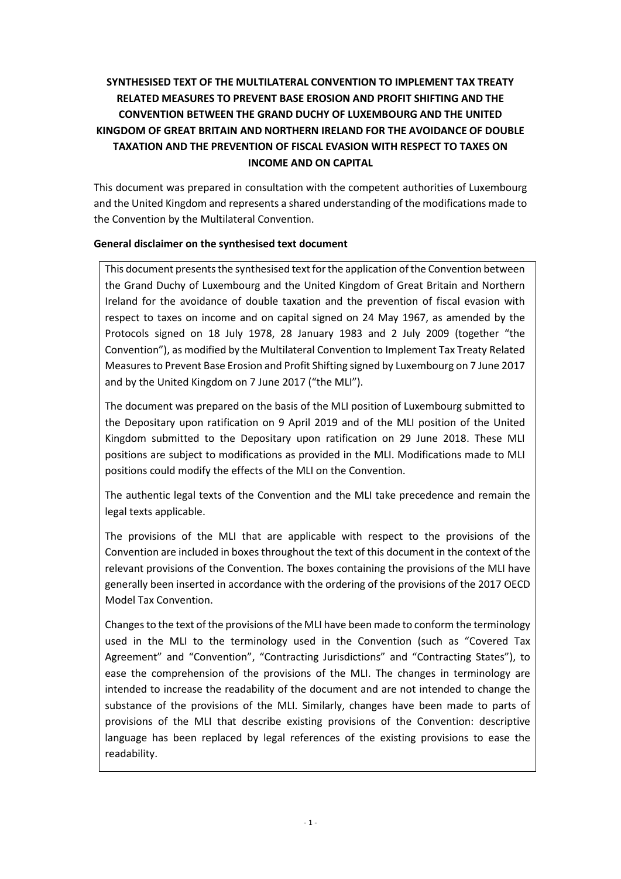# **SYNTHESISED TEXT OF THE MULTILATERAL CONVENTION TO IMPLEMENT TAX TREATY RELATED MEASURES TO PREVENT BASE EROSION AND PROFIT SHIFTING AND THE CONVENTION BETWEEN THE GRAND DUCHY OF LUXEMBOURG AND THE UNITED KINGDOM OF GREAT BRITAIN AND NORTHERN IRELAND FOR THE AVOIDANCE OF DOUBLE TAXATION AND THE PREVENTION OF FISCAL EVASION WITH RESPECT TO TAXES ON INCOME AND ON CAPITAL**

This document was prepared in consultation with the competent authorities of Luxembourg and the United Kingdom and represents a shared understanding of the modifications made to the Convention by the Multilateral Convention.

### **General disclaimer on the synthesised text document**

This document presents the synthesised text for the application of the Convention between the Grand Duchy of Luxembourg and the United Kingdom of Great Britain and Northern Ireland for the avoidance of double taxation and the prevention of fiscal evasion with respect to taxes on income and on capital signed on 24 May 1967, as amended by the Protocols signed on 18 July 1978, 28 January 1983 and 2 July 2009 (together "the Convention"), as modified by the Multilateral Convention to Implement Tax Treaty Related Measures to Prevent Base Erosion and Profit Shifting signed by Luxembourg on 7 June 2017 and by the United Kingdom on 7 June 2017 ("the MLI").

The document was prepared on the basis of the MLI position of Luxembourg submitted to the Depositary upon ratification on 9 April 2019 and of the MLI position of the United Kingdom submitted to the Depositary upon ratification on 29 June 2018. These MLI positions are subject to modifications as provided in the MLI. Modifications made to MLI positions could modify the effects of the MLI on the Convention.

The authentic legal texts of the Convention and the MLI take precedence and remain the legal texts applicable.

The provisions of the MLI that are applicable with respect to the provisions of the Convention are included in boxes throughout the text of this document in the context of the relevant provisions of the Convention. The boxes containing the provisions of the MLI have generally been inserted in accordance with the ordering of the provisions of the 2017 OECD Model Tax Convention.

Changes to the text of the provisions of the MLI have been made to conform the terminology used in the MLI to the terminology used in the Convention (such as "Covered Tax Agreement" and "Convention", "Contracting Jurisdictions" and "Contracting States"), to ease the comprehension of the provisions of the MLI. The changes in terminology are intended to increase the readability of the document and are not intended to change the substance of the provisions of the MLI. Similarly, changes have been made to parts of provisions of the MLI that describe existing provisions of the Convention: descriptive language has been replaced by legal references of the existing provisions to ease the readability.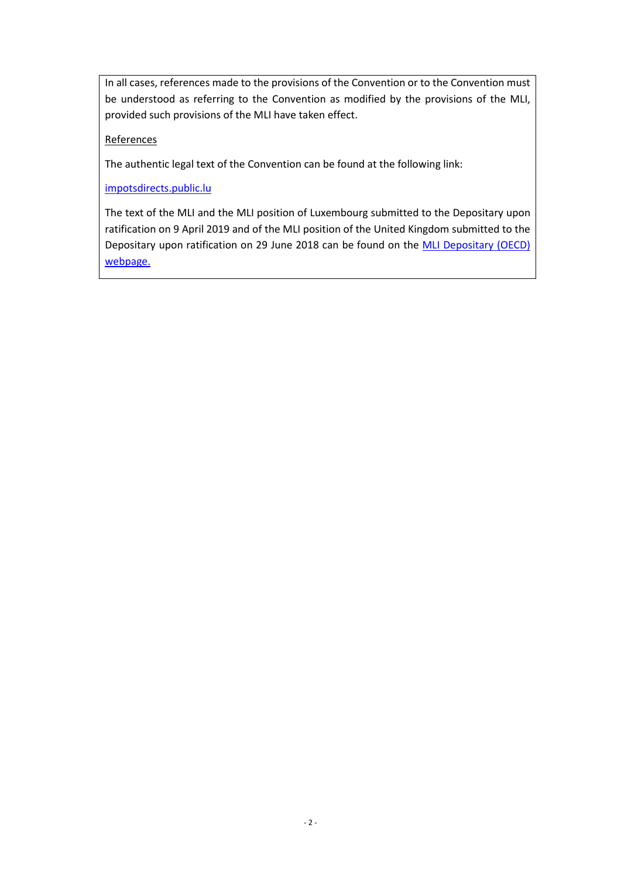In all cases, references made to the provisions of the Convention or to the Convention must be understood as referring to the Convention as modified by the provisions of the MLI, provided such provisions of the MLI have taken effect.

### References

The authentic legal text of the Convention can be found at the following link:

### [impotsdirects.public.lu](https://impotsdirects.public.lu/fr.html)

The text of the MLI and the MLI position of Luxembourg submitted to the Depositary upon ratification on 9 April 2019 and of the MLI position of the United Kingdom submitted to the Depositary upon ratification on 29 June 2018 can be found on the [MLI Depositary \(OECD\)](https://www.oecd.org/tax/treaties/multilateral-convention-to-implement-tax-treaty-related-measures-to-prevent-beps.htm)  [webpage.](https://www.oecd.org/tax/treaties/multilateral-convention-to-implement-tax-treaty-related-measures-to-prevent-beps.htm)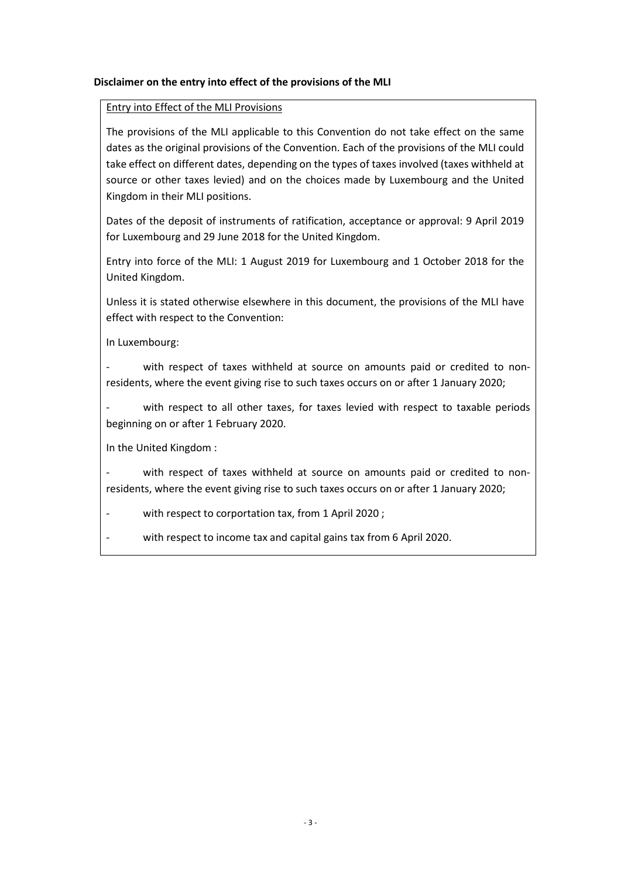### **Disclaimer on the entry into effect of the provisions of the MLI**

### Entry into Effect of the MLI Provisions

The provisions of the MLI applicable to this Convention do not take effect on the same dates as the original provisions of the Convention. Each of the provisions of the MLI could take effect on different dates, depending on the types of taxes involved (taxes withheld at source or other taxes levied) and on the choices made by Luxembourg and the United Kingdom in their MLI positions.

Dates of the deposit of instruments of ratification, acceptance or approval: 9 April 2019 for Luxembourg and 29 June 2018 for the United Kingdom.

Entry into force of the MLI: 1 August 2019 for Luxembourg and 1 October 2018 for the United Kingdom.

Unless it is stated otherwise elsewhere in this document, the provisions of the MLI have effect with respect to the Convention:

In Luxembourg:

with respect of taxes withheld at source on amounts paid or credited to nonresidents, where the event giving rise to such taxes occurs on or after 1 January 2020;

with respect to all other taxes, for taxes levied with respect to taxable periods beginning on or after 1 February 2020.

In the United Kingdom :

with respect of taxes withheld at source on amounts paid or credited to nonresidents, where the event giving rise to such taxes occurs on or after 1 January 2020;

with respect to corportation tax, from 1 April 2020;

- with respect to income tax and capital gains tax from 6 April 2020.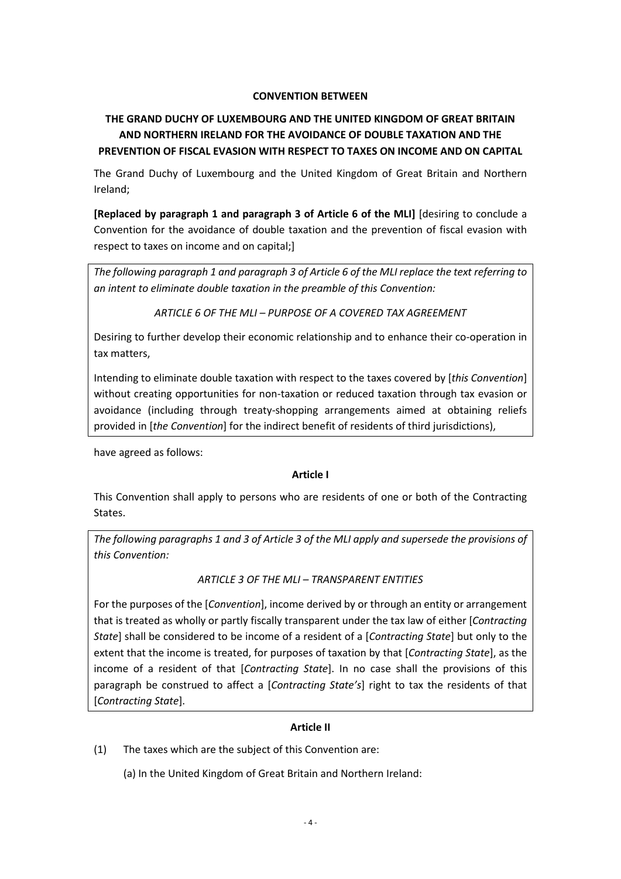### **CONVENTION BETWEEN**

# **THE GRAND DUCHY OF LUXEMBOURG AND THE UNITED KINGDOM OF GREAT BRITAIN AND NORTHERN IRELAND FOR THE AVOIDANCE OF DOUBLE TAXATION AND THE PREVENTION OF FISCAL EVASION WITH RESPECT TO TAXES ON INCOME AND ON CAPITAL**

The Grand Duchy of Luxembourg and the United Kingdom of Great Britain and Northern Ireland;

**[Replaced by paragraph 1 and paragraph 3 of Article 6 of the MLI]** [desiring to conclude a Convention for the avoidance of double taxation and the prevention of fiscal evasion with respect to taxes on income and on capital;]

*The following paragraph 1 and paragraph 3 of Article 6 of the MLI replace the text referring to an intent to eliminate double taxation in the preamble of this Convention:*

*ARTICLE 6 OF THE MLI – PURPOSE OF A COVERED TAX AGREEMENT*

Desiring to further develop their economic relationship and to enhance their co-operation in tax matters,

Intending to eliminate double taxation with respect to the taxes covered by [*this Convention*] without creating opportunities for non-taxation or reduced taxation through tax evasion or avoidance (including through treaty-shopping arrangements aimed at obtaining reliefs provided in [*the Convention*] for the indirect benefit of residents of third jurisdictions),

have agreed as follows:

#### **Article I**

This Convention shall apply to persons who are residents of one or both of the Contracting States.

*The following paragraphs 1 and 3 of Article 3 of the MLI apply and supersede the provisions of this Convention:*

#### *ARTICLE 3 OF THE MLI – TRANSPARENT ENTITIES*

For the purposes of the [*Convention*], income derived by or through an entity or arrangement that is treated as wholly or partly fiscally transparent under the tax law of either [*Contracting State*] shall be considered to be income of a resident of a [*Contracting State*] but only to the extent that the income is treated, for purposes of taxation by that [*Contracting State*], as the income of a resident of that [*Contracting State*]. In no case shall the provisions of this paragraph be construed to affect a [*Contracting State's*] right to tax the residents of that [*Contracting State*].

#### **Article II**

- (1) The taxes which are the subject of this Convention are:
	- (a) In the United Kingdom of Great Britain and Northern Ireland: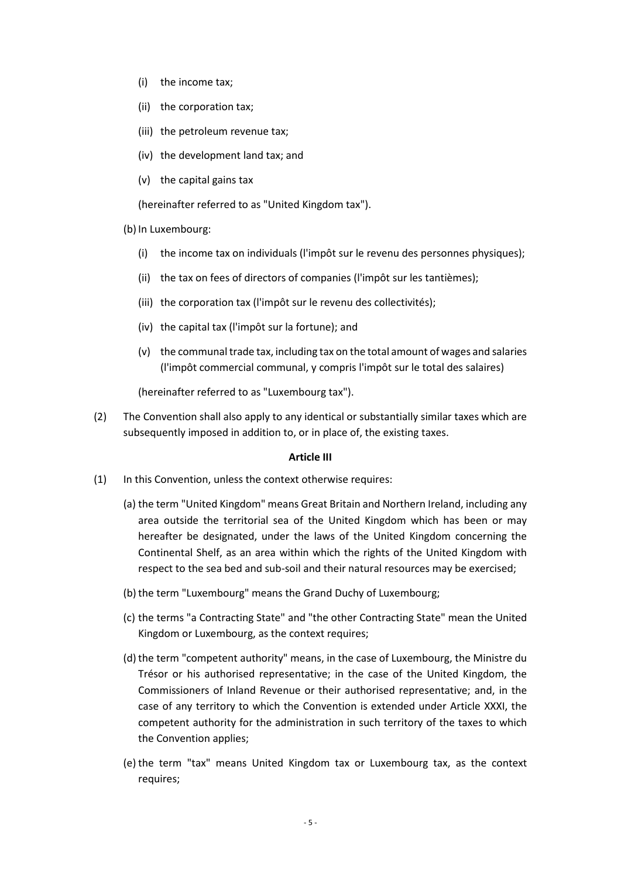- (i) the income tax;
- (ii) the corporation tax;
- (iii) the petroleum revenue tax;
- (iv) the development land tax; and
- (v) the capital gains tax

(hereinafter referred to as "United Kingdom tax").

- (b) In Luxembourg:
	- (i) the income tax on individuals (l'impôt sur le revenu des personnes physiques);
	- (ii) the tax on fees of directors of companies (l'impôt sur les tantièmes);
	- (iii) the corporation tax (l'impôt sur le revenu des collectivités);
	- (iv) the capital tax (l'impôt sur la fortune); and
	- (v) the communal trade tax, including tax on the total amount of wages and salaries (l'impôt commercial communal, y compris l'impôt sur le total des salaires)

(hereinafter referred to as "Luxembourg tax").

(2) The Convention shall also apply to any identical or substantially similar taxes which are subsequently imposed in addition to, or in place of, the existing taxes.

#### **Article III**

- (1) In this Convention, unless the context otherwise requires:
	- (a) the term "United Kingdom" means Great Britain and Northern Ireland, including any area outside the territorial sea of the United Kingdom which has been or may hereafter be designated, under the laws of the United Kingdom concerning the Continental Shelf, as an area within which the rights of the United Kingdom with respect to the sea bed and sub-soil and their natural resources may be exercised;
	- (b) the term "Luxembourg" means the Grand Duchy of Luxembourg;
	- (c) the terms "a Contracting State" and "the other Contracting State" mean the United Kingdom or Luxembourg, as the context requires;
	- (d) the term "competent authority" means, in the case of Luxembourg, the Ministre du Trésor or his authorised representative; in the case of the United Kingdom, the Commissioners of Inland Revenue or their authorised representative; and, in the case of any territory to which the Convention is extended under Article XXXI, the competent authority for the administration in such territory of the taxes to which the Convention applies;
	- (e) the term "tax" means United Kingdom tax or Luxembourg tax, as the context requires;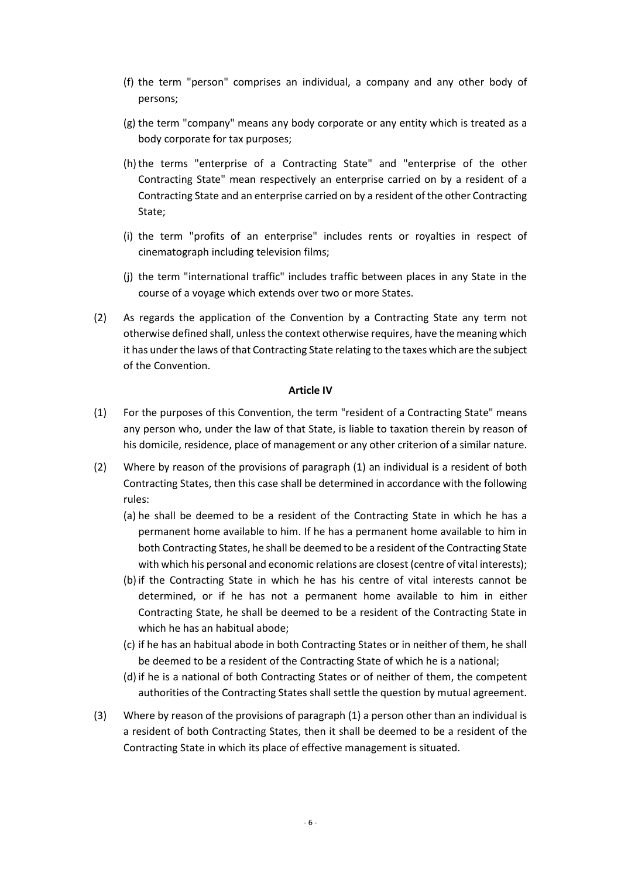- (f) the term "person" comprises an individual, a company and any other body of persons;
- (g) the term "company" means any body corporate or any entity which is treated as a body corporate for tax purposes;
- (h)the terms "enterprise of a Contracting State" and "enterprise of the other Contracting State" mean respectively an enterprise carried on by a resident of a Contracting State and an enterprise carried on by a resident of the other Contracting State;
- (i) the term "profits of an enterprise" includes rents or royalties in respect of cinematograph including television films;
- (j) the term "international traffic" includes traffic between places in any State in the course of a voyage which extends over two or more States.
- (2) As regards the application of the Convention by a Contracting State any term not otherwise defined shall, unless the context otherwise requires, have the meaning which it has under the laws of that Contracting State relating to the taxes which are the subject of the Convention.

#### **Article IV**

- (1) For the purposes of this Convention, the term "resident of a Contracting State" means any person who, under the law of that State, is liable to taxation therein by reason of his domicile, residence, place of management or any other criterion of a similar nature.
- (2) Where by reason of the provisions of paragraph (1) an individual is a resident of both Contracting States, then this case shall be determined in accordance with the following rules:
	- (a) he shall be deemed to be a resident of the Contracting State in which he has a permanent home available to him. If he has a permanent home available to him in both Contracting States, he shall be deemed to be a resident of the Contracting State with which his personal and economic relations are closest (centre of vital interests);
	- (b) if the Contracting State in which he has his centre of vital interests cannot be determined, or if he has not a permanent home available to him in either Contracting State, he shall be deemed to be a resident of the Contracting State in which he has an habitual abode;
	- (c) if he has an habitual abode in both Contracting States or in neither of them, he shall be deemed to be a resident of the Contracting State of which he is a national;
	- (d) if he is a national of both Contracting States or of neither of them, the competent authorities of the Contracting States shall settle the question by mutual agreement.
- (3) Where by reason of the provisions of paragraph (1) a person other than an individual is a resident of both Contracting States, then it shall be deemed to be a resident of the Contracting State in which its place of effective management is situated.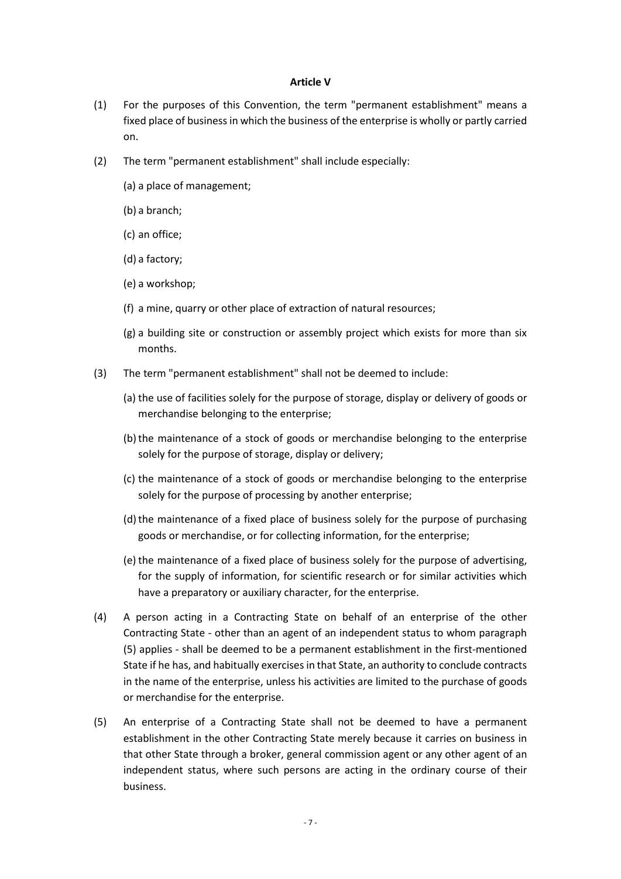#### **Article V**

- (1) For the purposes of this Convention, the term "permanent establishment" means a fixed place of business in which the business of the enterprise is wholly or partly carried on.
- (2) The term "permanent establishment" shall include especially:
	- (a) a place of management;
	- (b) a branch;
	- (c) an office;
	- (d) a factory;
	- (e) a workshop;
	- (f) a mine, quarry or other place of extraction of natural resources;
	- (g) a building site or construction or assembly project which exists for more than six months.
- (3) The term "permanent establishment" shall not be deemed to include:
	- (a) the use of facilities solely for the purpose of storage, display or delivery of goods or merchandise belonging to the enterprise;
	- (b) the maintenance of a stock of goods or merchandise belonging to the enterprise solely for the purpose of storage, display or delivery;
	- (c) the maintenance of a stock of goods or merchandise belonging to the enterprise solely for the purpose of processing by another enterprise;
	- (d) the maintenance of a fixed place of business solely for the purpose of purchasing goods or merchandise, or for collecting information, for the enterprise;
	- (e) the maintenance of a fixed place of business solely for the purpose of advertising, for the supply of information, for scientific research or for similar activities which have a preparatory or auxiliary character, for the enterprise.
- (4) A person acting in a Contracting State on behalf of an enterprise of the other Contracting State - other than an agent of an independent status to whom paragraph (5) applies - shall be deemed to be a permanent establishment in the first-mentioned State if he has, and habitually exercises in that State, an authority to conclude contracts in the name of the enterprise, unless his activities are limited to the purchase of goods or merchandise for the enterprise.
- (5) An enterprise of a Contracting State shall not be deemed to have a permanent establishment in the other Contracting State merely because it carries on business in that other State through a broker, general commission agent or any other agent of an independent status, where such persons are acting in the ordinary course of their business.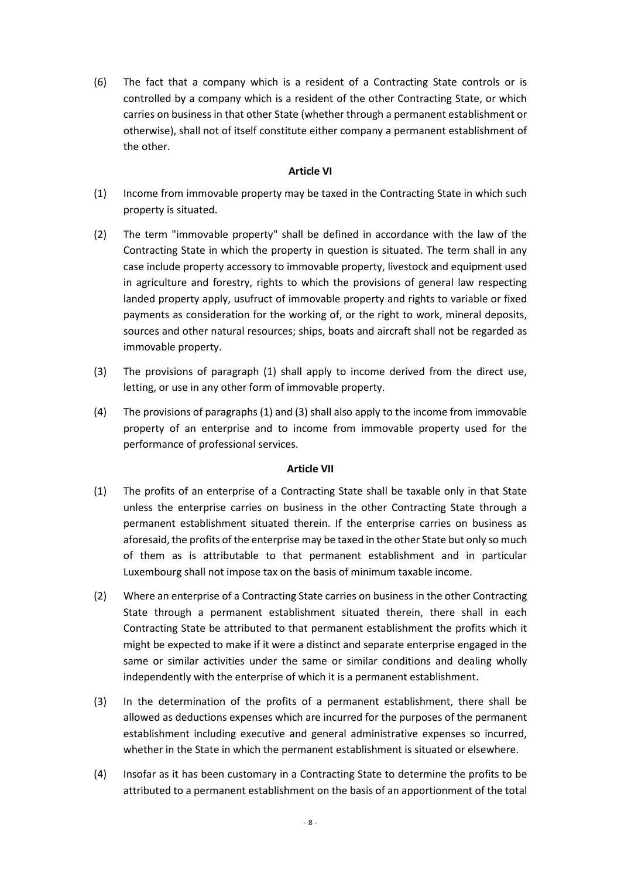(6) The fact that a company which is a resident of a Contracting State controls or is controlled by a company which is a resident of the other Contracting State, or which carries on business in that other State (whether through a permanent establishment or otherwise), shall not of itself constitute either company a permanent establishment of the other.

### **Article VI**

- (1) Income from immovable property may be taxed in the Contracting State in which such property is situated.
- (2) The term "immovable property" shall be defined in accordance with the law of the Contracting State in which the property in question is situated. The term shall in any case include property accessory to immovable property, livestock and equipment used in agriculture and forestry, rights to which the provisions of general law respecting landed property apply, usufruct of immovable property and rights to variable or fixed payments as consideration for the working of, or the right to work, mineral deposits, sources and other natural resources; ships, boats and aircraft shall not be regarded as immovable property.
- (3) The provisions of paragraph (1) shall apply to income derived from the direct use, letting, or use in any other form of immovable property.
- (4) The provisions of paragraphs (1) and (3) shall also apply to the income from immovable property of an enterprise and to income from immovable property used for the performance of professional services.

#### **Article VII**

- (1) The profits of an enterprise of a Contracting State shall be taxable only in that State unless the enterprise carries on business in the other Contracting State through a permanent establishment situated therein. If the enterprise carries on business as aforesaid, the profits of the enterprise may be taxed in the other State but only so much of them as is attributable to that permanent establishment and in particular Luxembourg shall not impose tax on the basis of minimum taxable income.
- (2) Where an enterprise of a Contracting State carries on business in the other Contracting State through a permanent establishment situated therein, there shall in each Contracting State be attributed to that permanent establishment the profits which it might be expected to make if it were a distinct and separate enterprise engaged in the same or similar activities under the same or similar conditions and dealing wholly independently with the enterprise of which it is a permanent establishment.
- (3) In the determination of the profits of a permanent establishment, there shall be allowed as deductions expenses which are incurred for the purposes of the permanent establishment including executive and general administrative expenses so incurred, whether in the State in which the permanent establishment is situated or elsewhere.
- (4) Insofar as it has been customary in a Contracting State to determine the profits to be attributed to a permanent establishment on the basis of an apportionment of the total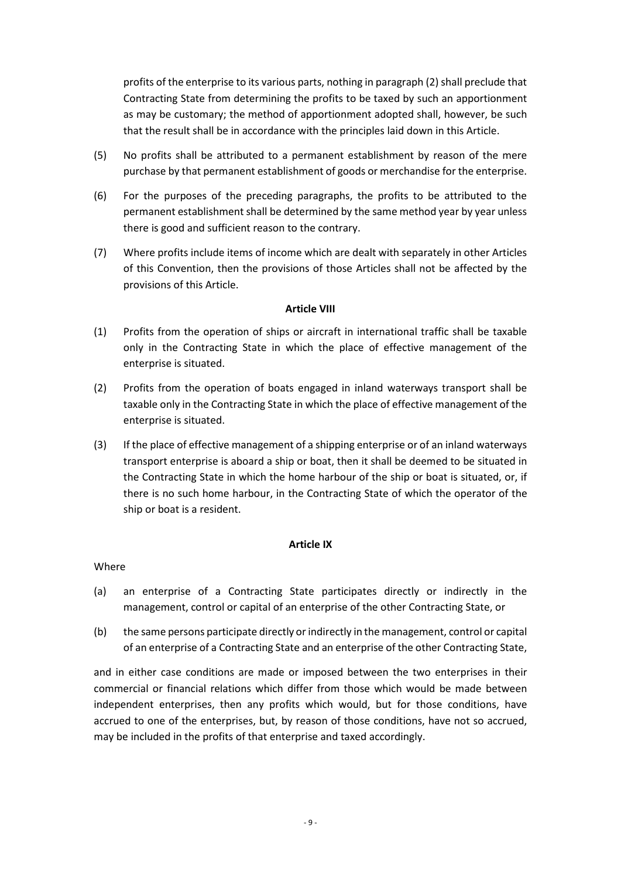profits of the enterprise to its various parts, nothing in paragraph (2) shall preclude that Contracting State from determining the profits to be taxed by such an apportionment as may be customary; the method of apportionment adopted shall, however, be such that the result shall be in accordance with the principles laid down in this Article.

- (5) No profits shall be attributed to a permanent establishment by reason of the mere purchase by that permanent establishment of goods or merchandise for the enterprise.
- (6) For the purposes of the preceding paragraphs, the profits to be attributed to the permanent establishment shall be determined by the same method year by year unless there is good and sufficient reason to the contrary.
- (7) Where profits include items of income which are dealt with separately in other Articles of this Convention, then the provisions of those Articles shall not be affected by the provisions of this Article.

### **Article VIII**

- (1) Profits from the operation of ships or aircraft in international traffic shall be taxable only in the Contracting State in which the place of effective management of the enterprise is situated.
- (2) Profits from the operation of boats engaged in inland waterways transport shall be taxable only in the Contracting State in which the place of effective management of the enterprise is situated.
- (3) If the place of effective management of a shipping enterprise or of an inland waterways transport enterprise is aboard a ship or boat, then it shall be deemed to be situated in the Contracting State in which the home harbour of the ship or boat is situated, or, if there is no such home harbour, in the Contracting State of which the operator of the ship or boat is a resident.

### **Article IX**

### Where

- (a) an enterprise of a Contracting State participates directly or indirectly in the management, control or capital of an enterprise of the other Contracting State, or
- (b) the same persons participate directly or indirectly in the management, control or capital of an enterprise of a Contracting State and an enterprise of the other Contracting State,

and in either case conditions are made or imposed between the two enterprises in their commercial or financial relations which differ from those which would be made between independent enterprises, then any profits which would, but for those conditions, have accrued to one of the enterprises, but, by reason of those conditions, have not so accrued, may be included in the profits of that enterprise and taxed accordingly.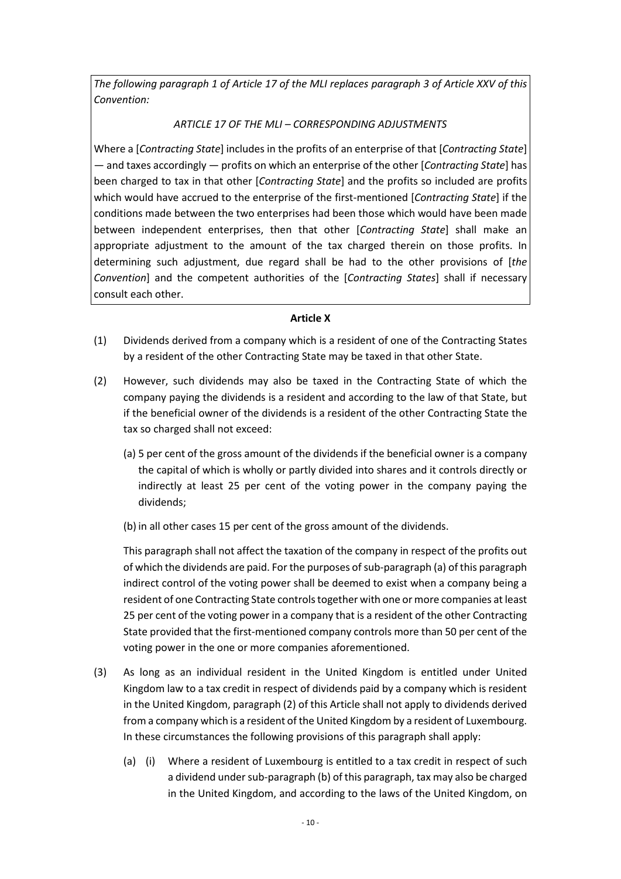*The following paragraph 1 of Article 17 of the MLI replaces paragraph 3 of Article XXV of this Convention:*

# *ARTICLE 17 OF THE MLI – CORRESPONDING ADJUSTMENTS*

Where a [*Contracting State*] includes in the profits of an enterprise of that [*Contracting State*] — and taxes accordingly — profits on which an enterprise of the other [*Contracting State*] has been charged to tax in that other [*Contracting State*] and the profits so included are profits which would have accrued to the enterprise of the first-mentioned [*Contracting State*] if the conditions made between the two enterprises had been those which would have been made between independent enterprises, then that other [*Contracting State*] shall make an appropriate adjustment to the amount of the tax charged therein on those profits. In determining such adjustment, due regard shall be had to the other provisions of [*the Convention*] and the competent authorities of the [*Contracting States*] shall if necessary consult each other.

### **Article X**

- (1) Dividends derived from a company which is a resident of one of the Contracting States by a resident of the other Contracting State may be taxed in that other State.
- (2) However, such dividends may also be taxed in the Contracting State of which the company paying the dividends is a resident and according to the law of that State, but if the beneficial owner of the dividends is a resident of the other Contracting State the tax so charged shall not exceed:
	- (a) 5 per cent of the gross amount of the dividends if the beneficial owner is a company the capital of which is wholly or partly divided into shares and it controls directly or indirectly at least 25 per cent of the voting power in the company paying the dividends;
	- (b) in all other cases 15 per cent of the gross amount of the dividends.

This paragraph shall not affect the taxation of the company in respect of the profits out of which the dividends are paid. For the purposes of sub-paragraph (a) of this paragraph indirect control of the voting power shall be deemed to exist when a company being a resident of one Contracting State controls together with one or more companies at least 25 per cent of the voting power in a company that is a resident of the other Contracting State provided that the first-mentioned company controls more than 50 per cent of the voting power in the one or more companies aforementioned.

- (3) As long as an individual resident in the United Kingdom is entitled under United Kingdom law to a tax credit in respect of dividends paid by a company which is resident in the United Kingdom, paragraph (2) of this Article shall not apply to dividends derived from a company which is a resident of the United Kingdom by a resident of Luxembourg. In these circumstances the following provisions of this paragraph shall apply:
	- (a) (i) Where a resident of Luxembourg is entitled to a tax credit in respect of such a dividend under sub-paragraph (b) of this paragraph, tax may also be charged in the United Kingdom, and according to the laws of the United Kingdom, on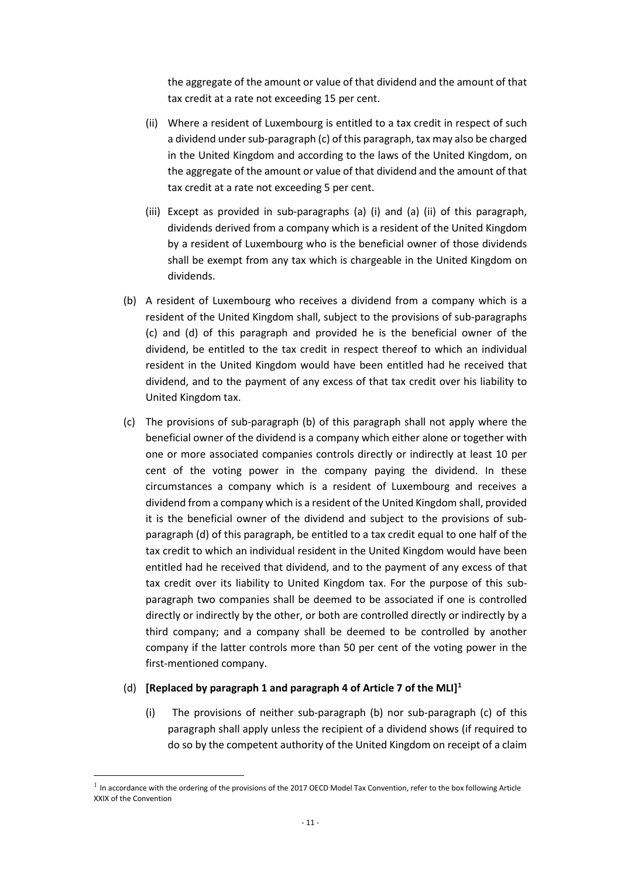the aggregate of the amount or value of that dividend and the amount of that tax credit at a rate not exceeding 15 per cent.

- (ii) Where a resident of Luxembourg is entitled to a tax credit in respect of such a dividend under sub-paragraph (c) of this paragraph, tax may also be charged in the United Kingdom and according to the laws of the United Kingdom, on the aggregate of the amount or value of that dividend and the amount of that tax credit at a rate not exceeding 5 per cent.
- (iii) Except as provided in sub-paragraphs (a) (i) and (a) (ii) of this paragraph, dividends derived from a company which is a resident of the United Kingdom by a resident of Luxembourg who is the beneficial owner of those dividends shall be exempt from any tax which is chargeable in the United Kingdom on dividends.
- (b) A resident of Luxembourg who receives a dividend from a company which is a resident of the United Kingdom shall, subject to the provisions of sub-paragraphs (c) and (d) of this paragraph and provided he is the beneficial owner of the dividend, be entitled to the tax credit in respect thereof to which an individual resident in the United Kingdom would have been entitled had he received that dividend, and to the payment of any excess of that tax credit over his liability to United Kingdom tax.
- (c) The provisions of sub-paragraph (b) of this paragraph shall not apply where the beneficial owner of the dividend is a company which either alone or together with one or more associated companies controls directly or indirectly at least 10 per cent of the voting power in the company paying the dividend. In these circumstances a company which is a resident of Luxembourg and receives a dividend from a company which is a resident of the United Kingdom shall, provided it is the beneficial owner of the dividend and subject to the provisions of subparagraph (d) of this paragraph, be entitled to a tax credit equal to one half of the tax credit to which an individual resident in the United Kingdom would have been entitled had he received that dividend, and to the payment of any excess of that tax credit over its liability to United Kingdom tax. For the purpose of this subparagraph two companies shall be deemed to be associated if one is controlled directly or indirectly by the other, or both are controlled directly or indirectly by a third company; and a company shall be deemed to be controlled by another company if the latter controls more than 50 per cent of the voting power in the first-mentioned company.

#### (d) **[Replaced by paragraph 1 and paragraph 4 of Article 7 of the MLI][1](#page-10-0)**

(i) The provisions of neither sub-paragraph (b) nor sub-paragraph (c) of this paragraph shall apply unless the recipient of a dividend shows (if required to do so by the competent authority of the United Kingdom on receipt of a claim

<span id="page-10-0"></span> $1$  In accordance with the ordering of the provisions of the 2017 OECD Model Tax Convention, refer to the box following Article XXIX of the Convention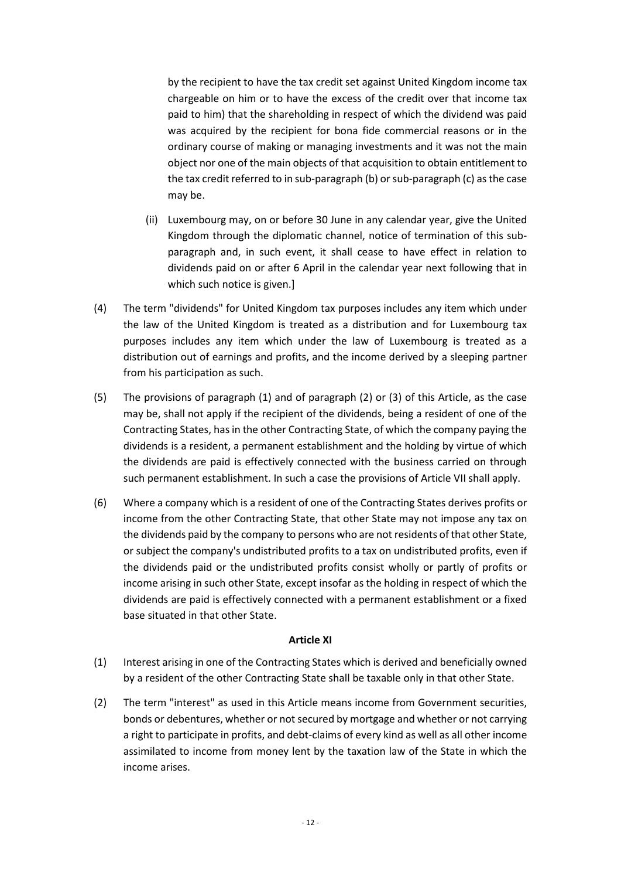by the recipient to have the tax credit set against United Kingdom income tax chargeable on him or to have the excess of the credit over that income tax paid to him) that the shareholding in respect of which the dividend was paid was acquired by the recipient for bona fide commercial reasons or in the ordinary course of making or managing investments and it was not the main object nor one of the main objects of that acquisition to obtain entitlement to the tax credit referred to in sub-paragraph (b) or sub-paragraph (c) as the case may be.

- (ii) Luxembourg may, on or before 30 June in any calendar year, give the United Kingdom through the diplomatic channel, notice of termination of this subparagraph and, in such event, it shall cease to have effect in relation to dividends paid on or after 6 April in the calendar year next following that in which such notice is given.]
- (4) The term "dividends" for United Kingdom tax purposes includes any item which under the law of the United Kingdom is treated as a distribution and for Luxembourg tax purposes includes any item which under the law of Luxembourg is treated as a distribution out of earnings and profits, and the income derived by a sleeping partner from his participation as such.
- (5) The provisions of paragraph (1) and of paragraph (2) or (3) of this Article, as the case may be, shall not apply if the recipient of the dividends, being a resident of one of the Contracting States, has in the other Contracting State, of which the company paying the dividends is a resident, a permanent establishment and the holding by virtue of which the dividends are paid is effectively connected with the business carried on through such permanent establishment. In such a case the provisions of Article VII shall apply.
- (6) Where a company which is a resident of one of the Contracting States derives profits or income from the other Contracting State, that other State may not impose any tax on the dividends paid by the company to persons who are not residents of that other State, or subject the company's undistributed profits to a tax on undistributed profits, even if the dividends paid or the undistributed profits consist wholly or partly of profits or income arising in such other State, except insofar as the holding in respect of which the dividends are paid is effectively connected with a permanent establishment or a fixed base situated in that other State.

#### **Article XI**

- (1) Interest arising in one of the Contracting States which is derived and beneficially owned by a resident of the other Contracting State shall be taxable only in that other State.
- (2) The term "interest" as used in this Article means income from Government securities, bonds or debentures, whether or not secured by mortgage and whether or not carrying a right to participate in profits, and debt-claims of every kind as well as all other income assimilated to income from money lent by the taxation law of the State in which the income arises.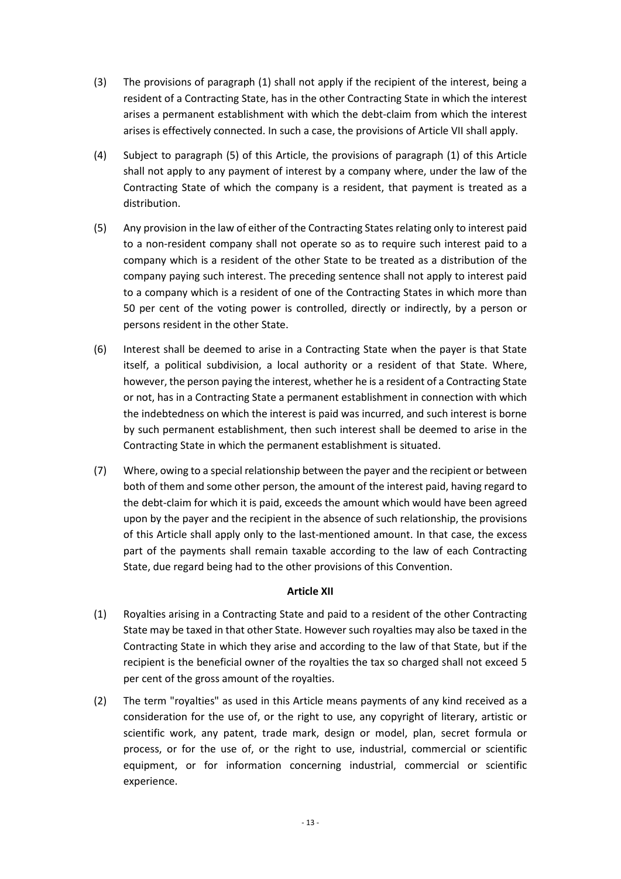- (3) The provisions of paragraph (1) shall not apply if the recipient of the interest, being a resident of a Contracting State, has in the other Contracting State in which the interest arises a permanent establishment with which the debt-claim from which the interest arises is effectively connected. In such a case, the provisions of Article VII shall apply.
- (4) Subject to paragraph (5) of this Article, the provisions of paragraph (1) of this Article shall not apply to any payment of interest by a company where, under the law of the Contracting State of which the company is a resident, that payment is treated as a distribution.
- (5) Any provision in the law of either of the Contracting States relating only to interest paid to a non-resident company shall not operate so as to require such interest paid to a company which is a resident of the other State to be treated as a distribution of the company paying such interest. The preceding sentence shall not apply to interest paid to a company which is a resident of one of the Contracting States in which more than 50 per cent of the voting power is controlled, directly or indirectly, by a person or persons resident in the other State.
- (6) Interest shall be deemed to arise in a Contracting State when the payer is that State itself, a political subdivision, a local authority or a resident of that State. Where, however, the person paying the interest, whether he is a resident of a Contracting State or not, has in a Contracting State a permanent establishment in connection with which the indebtedness on which the interest is paid was incurred, and such interest is borne by such permanent establishment, then such interest shall be deemed to arise in the Contracting State in which the permanent establishment is situated.
- (7) Where, owing to a special relationship between the payer and the recipient or between both of them and some other person, the amount of the interest paid, having regard to the debt-claim for which it is paid, exceeds the amount which would have been agreed upon by the payer and the recipient in the absence of such relationship, the provisions of this Article shall apply only to the last-mentioned amount. In that case, the excess part of the payments shall remain taxable according to the law of each Contracting State, due regard being had to the other provisions of this Convention.

### **Article XII**

- (1) Royalties arising in a Contracting State and paid to a resident of the other Contracting State may be taxed in that other State. Howeversuch royalties may also be taxed in the Contracting State in which they arise and according to the law of that State, but if the recipient is the beneficial owner of the royalties the tax so charged shall not exceed 5 per cent of the gross amount of the royalties.
- (2) The term "royalties" as used in this Article means payments of any kind received as a consideration for the use of, or the right to use, any copyright of literary, artistic or scientific work, any patent, trade mark, design or model, plan, secret formula or process, or for the use of, or the right to use, industrial, commercial or scientific equipment, or for information concerning industrial, commercial or scientific experience.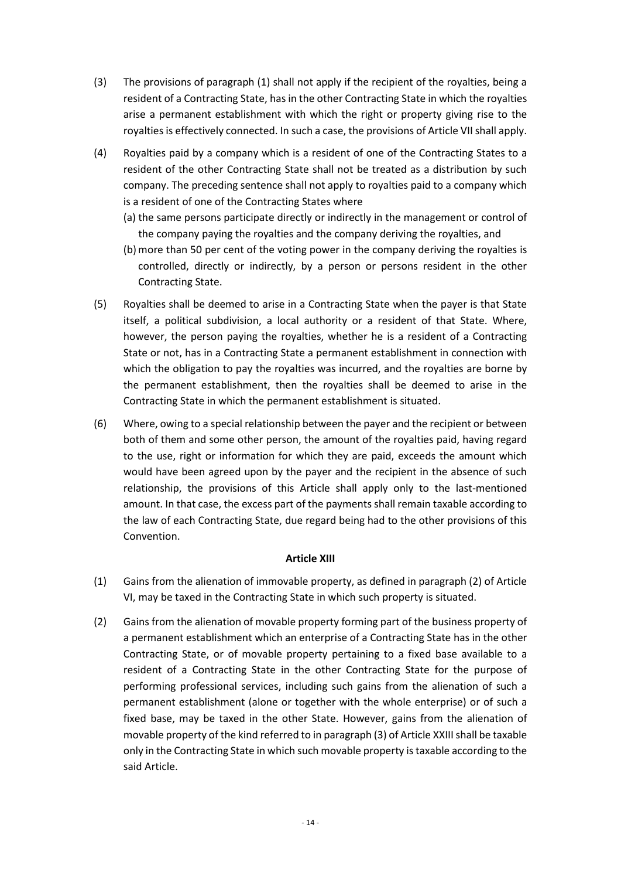- (3) The provisions of paragraph (1) shall not apply if the recipient of the royalties, being a resident of a Contracting State, has in the other Contracting State in which the royalties arise a permanent establishment with which the right or property giving rise to the royalties is effectively connected. In such a case, the provisions of Article VII shall apply.
- (4) Royalties paid by a company which is a resident of one of the Contracting States to a resident of the other Contracting State shall not be treated as a distribution by such company. The preceding sentence shall not apply to royalties paid to a company which is a resident of one of the Contracting States where
	- (a) the same persons participate directly or indirectly in the management or control of the company paying the royalties and the company deriving the royalties, and
	- (b) more than 50 per cent of the voting power in the company deriving the royalties is controlled, directly or indirectly, by a person or persons resident in the other Contracting State.
- (5) Royalties shall be deemed to arise in a Contracting State when the payer is that State itself, a political subdivision, a local authority or a resident of that State. Where, however, the person paying the royalties, whether he is a resident of a Contracting State or not, has in a Contracting State a permanent establishment in connection with which the obligation to pay the royalties was incurred, and the royalties are borne by the permanent establishment, then the royalties shall be deemed to arise in the Contracting State in which the permanent establishment is situated.
- (6) Where, owing to a special relationship between the payer and the recipient or between both of them and some other person, the amount of the royalties paid, having regard to the use, right or information for which they are paid, exceeds the amount which would have been agreed upon by the payer and the recipient in the absence of such relationship, the provisions of this Article shall apply only to the last-mentioned amount. In that case, the excess part of the payments shall remain taxable according to the law of each Contracting State, due regard being had to the other provisions of this Convention.

#### **Article XIII**

- (1) Gains from the alienation of immovable property, as defined in paragraph (2) of Article VI, may be taxed in the Contracting State in which such property is situated.
- (2) Gains from the alienation of movable property forming part of the business property of a permanent establishment which an enterprise of a Contracting State has in the other Contracting State, or of movable property pertaining to a fixed base available to a resident of a Contracting State in the other Contracting State for the purpose of performing professional services, including such gains from the alienation of such a permanent establishment (alone or together with the whole enterprise) or of such a fixed base, may be taxed in the other State. However, gains from the alienation of movable property of the kind referred to in paragraph (3) of Article XXIII shall be taxable only in the Contracting State in which such movable property is taxable according to the said Article.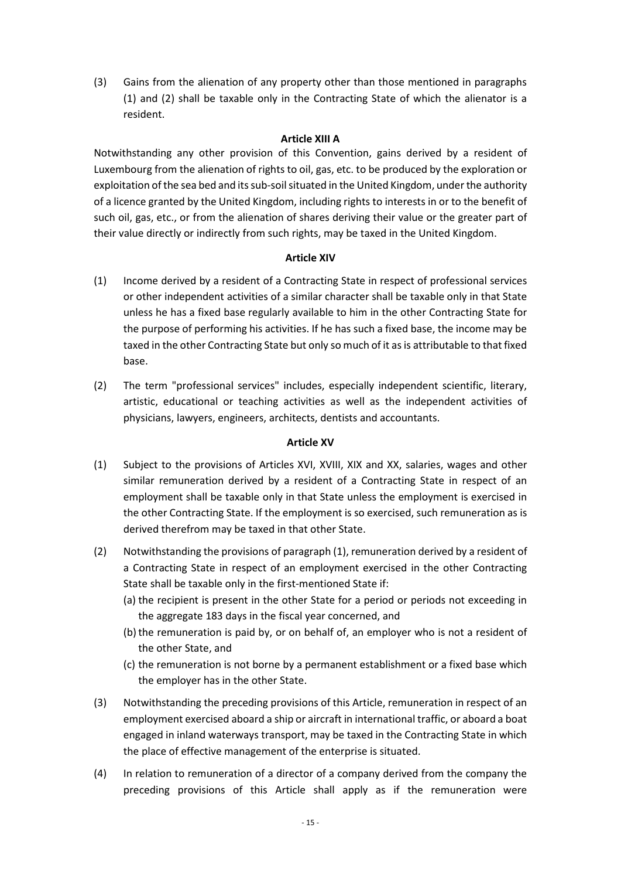(3) Gains from the alienation of any property other than those mentioned in paragraphs (1) and (2) shall be taxable only in the Contracting State of which the alienator is a resident.

### **Article XIII A**

Notwithstanding any other provision of this Convention, gains derived by a resident of Luxembourg from the alienation of rights to oil, gas, etc. to be produced by the exploration or exploitation of the sea bed and its sub-soil situated in the United Kingdom, under the authority of a licence granted by the United Kingdom, including rights to interests in or to the benefit of such oil, gas, etc., or from the alienation of shares deriving their value or the greater part of their value directly or indirectly from such rights, may be taxed in the United Kingdom.

### **Article XIV**

- (1) Income derived by a resident of a Contracting State in respect of professional services or other independent activities of a similar character shall be taxable only in that State unless he has a fixed base regularly available to him in the other Contracting State for the purpose of performing his activities. If he has such a fixed base, the income may be taxed in the other Contracting State but only so much of it as is attributable to that fixed base.
- (2) The term "professional services" includes, especially independent scientific, literary, artistic, educational or teaching activities as well as the independent activities of physicians, lawyers, engineers, architects, dentists and accountants.

### **Article XV**

- (1) Subject to the provisions of Articles XVI, XVIII, XIX and XX, salaries, wages and other similar remuneration derived by a resident of a Contracting State in respect of an employment shall be taxable only in that State unless the employment is exercised in the other Contracting State. If the employment is so exercised, such remuneration as is derived therefrom may be taxed in that other State.
- (2) Notwithstanding the provisions of paragraph (1), remuneration derived by a resident of a Contracting State in respect of an employment exercised in the other Contracting State shall be taxable only in the first-mentioned State if:
	- (a) the recipient is present in the other State for a period or periods not exceeding in the aggregate 183 days in the fiscal year concerned, and
	- (b) the remuneration is paid by, or on behalf of, an employer who is not a resident of the other State, and
	- (c) the remuneration is not borne by a permanent establishment or a fixed base which the employer has in the other State.
- (3) Notwithstanding the preceding provisions of this Article, remuneration in respect of an employment exercised aboard a ship or aircraft in international traffic, or aboard a boat engaged in inland waterways transport, may be taxed in the Contracting State in which the place of effective management of the enterprise is situated.
- (4) In relation to remuneration of a director of a company derived from the company the preceding provisions of this Article shall apply as if the remuneration were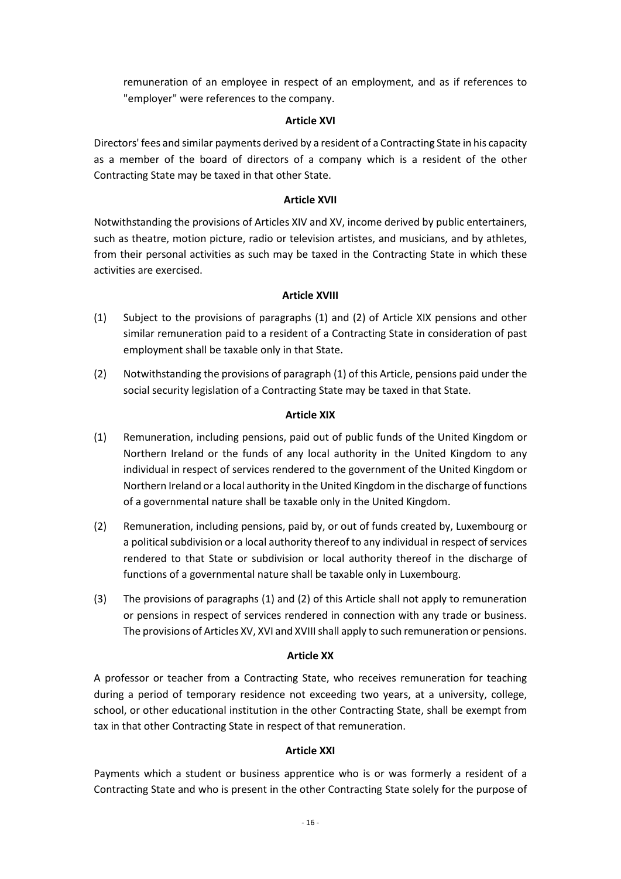remuneration of an employee in respect of an employment, and as if references to "employer" were references to the company.

### **Article XVI**

Directors' fees and similar payments derived by a resident of a Contracting State in his capacity as a member of the board of directors of a company which is a resident of the other Contracting State may be taxed in that other State.

### **Article XVII**

Notwithstanding the provisions of Articles XIV and XV, income derived by public entertainers, such as theatre, motion picture, radio or television artistes, and musicians, and by athletes, from their personal activities as such may be taxed in the Contracting State in which these activities are exercised.

# **Article XVIII**

- (1) Subject to the provisions of paragraphs (1) and (2) of Article XIX pensions and other similar remuneration paid to a resident of a Contracting State in consideration of past employment shall be taxable only in that State.
- (2) Notwithstanding the provisions of paragraph (1) of this Article, pensions paid under the social security legislation of a Contracting State may be taxed in that State.

### **Article XIX**

- (1) Remuneration, including pensions, paid out of public funds of the United Kingdom or Northern Ireland or the funds of any local authority in the United Kingdom to any individual in respect of services rendered to the government of the United Kingdom or Northern Ireland or a local authority in the United Kingdom in the discharge of functions of a governmental nature shall be taxable only in the United Kingdom.
- (2) Remuneration, including pensions, paid by, or out of funds created by, Luxembourg or a political subdivision or a local authority thereof to any individual in respect of services rendered to that State or subdivision or local authority thereof in the discharge of functions of a governmental nature shall be taxable only in Luxembourg.
- (3) The provisions of paragraphs (1) and (2) of this Article shall not apply to remuneration or pensions in respect of services rendered in connection with any trade or business. The provisions of Articles XV, XVI and XVIII shall apply to such remuneration or pensions.

### **Article XX**

A professor or teacher from a Contracting State, who receives remuneration for teaching during a period of temporary residence not exceeding two years, at a university, college, school, or other educational institution in the other Contracting State, shall be exempt from tax in that other Contracting State in respect of that remuneration.

### **Article XXI**

Payments which a student or business apprentice who is or was formerly a resident of a Contracting State and who is present in the other Contracting State solely for the purpose of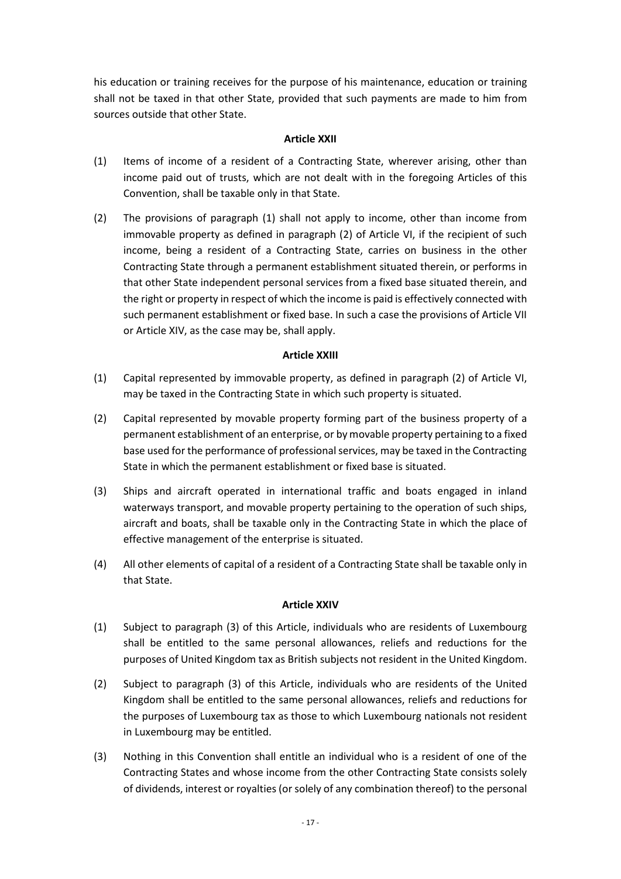his education or training receives for the purpose of his maintenance, education or training shall not be taxed in that other State, provided that such payments are made to him from sources outside that other State.

### **Article XXII**

- (1) Items of income of a resident of a Contracting State, wherever arising, other than income paid out of trusts, which are not dealt with in the foregoing Articles of this Convention, shall be taxable only in that State.
- (2) The provisions of paragraph (1) shall not apply to income, other than income from immovable property as defined in paragraph (2) of Article VI, if the recipient of such income, being a resident of a Contracting State, carries on business in the other Contracting State through a permanent establishment situated therein, or performs in that other State independent personal services from a fixed base situated therein, and the right or property in respect of which the income is paid is effectively connected with such permanent establishment or fixed base. In such a case the provisions of Article VII or Article XIV, as the case may be, shall apply.

### **Article XXIII**

- (1) Capital represented by immovable property, as defined in paragraph (2) of Article VI, may be taxed in the Contracting State in which such property is situated.
- (2) Capital represented by movable property forming part of the business property of a permanent establishment of an enterprise, or by movable property pertaining to a fixed base used for the performance of professional services, may be taxed in the Contracting State in which the permanent establishment or fixed base is situated.
- (3) Ships and aircraft operated in international traffic and boats engaged in inland waterways transport, and movable property pertaining to the operation of such ships, aircraft and boats, shall be taxable only in the Contracting State in which the place of effective management of the enterprise is situated.
- (4) All other elements of capital of a resident of a Contracting State shall be taxable only in that State.

#### **Article XXIV**

- (1) Subject to paragraph (3) of this Article, individuals who are residents of Luxembourg shall be entitled to the same personal allowances, reliefs and reductions for the purposes of United Kingdom tax as British subjects not resident in the United Kingdom.
- (2) Subject to paragraph (3) of this Article, individuals who are residents of the United Kingdom shall be entitled to the same personal allowances, reliefs and reductions for the purposes of Luxembourg tax as those to which Luxembourg nationals not resident in Luxembourg may be entitled.
- (3) Nothing in this Convention shall entitle an individual who is a resident of one of the Contracting States and whose income from the other Contracting State consists solely of dividends, interest or royalties (or solely of any combination thereof) to the personal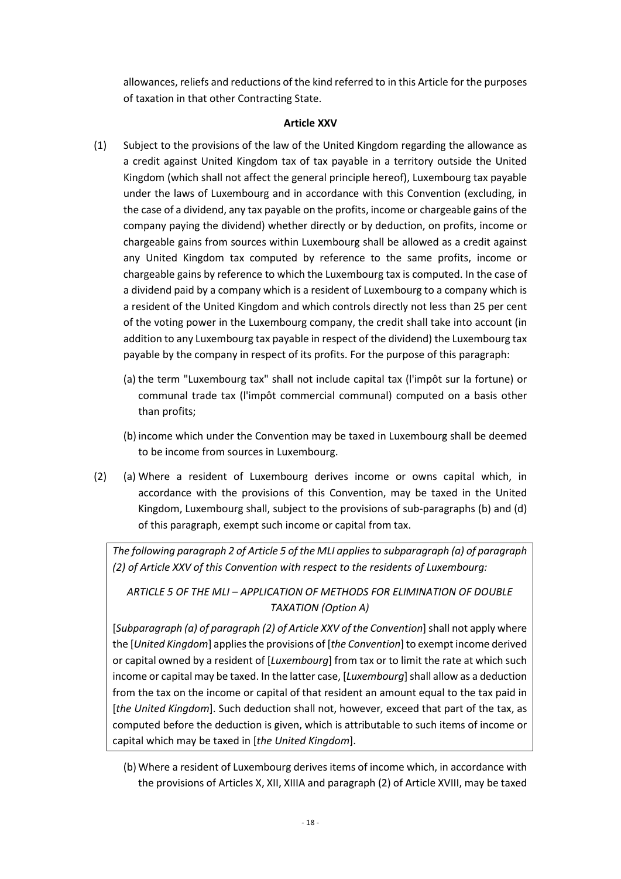allowances, reliefs and reductions of the kind referred to in this Article for the purposes of taxation in that other Contracting State.

### **Article XXV**

- (1) Subject to the provisions of the law of the United Kingdom regarding the allowance as a credit against United Kingdom tax of tax payable in a territory outside the United Kingdom (which shall not affect the general principle hereof), Luxembourg tax payable under the laws of Luxembourg and in accordance with this Convention (excluding, in the case of a dividend, any tax payable on the profits, income or chargeable gains of the company paying the dividend) whether directly or by deduction, on profits, income or chargeable gains from sources within Luxembourg shall be allowed as a credit against any United Kingdom tax computed by reference to the same profits, income or chargeable gains by reference to which the Luxembourg tax is computed. In the case of a dividend paid by a company which is a resident of Luxembourg to a company which is a resident of the United Kingdom and which controls directly not less than 25 per cent of the voting power in the Luxembourg company, the credit shall take into account (in addition to any Luxembourg tax payable in respect of the dividend) the Luxembourg tax payable by the company in respect of its profits. For the purpose of this paragraph:
	- (a) the term "Luxembourg tax" shall not include capital tax (l'impôt sur la fortune) or communal trade tax (l'impôt commercial communal) computed on a basis other than profits;
	- (b) income which under the Convention may be taxed in Luxembourg shall be deemed to be income from sources in Luxembourg.
- (2) (a) Where a resident of Luxembourg derives income or owns capital which, in accordance with the provisions of this Convention, may be taxed in the United Kingdom, Luxembourg shall, subject to the provisions of sub-paragraphs (b) and (d) of this paragraph, exempt such income or capital from tax.

*The following paragraph 2 of Article 5 of the MLI applies to subparagraph (a) of paragraph (2) of Article XXV of this Convention with respect to the residents of Luxembourg:*

*ARTICLE 5 OF THE MLI – APPLICATION OF METHODS FOR ELIMINATION OF DOUBLE TAXATION (Option A)*

[*Subparagraph (a) of paragraph (2) of Article XXV of the Convention*] shall not apply where the [*United Kingdom*] applies the provisions of [*the Convention*] to exempt income derived or capital owned by a resident of [*Luxembourg*] from tax or to limit the rate at which such income or capital may be taxed. In the latter case, [*Luxembourg*] shall allow as a deduction from the tax on the income or capital of that resident an amount equal to the tax paid in [*the United Kingdom*]. Such deduction shall not, however, exceed that part of the tax, as computed before the deduction is given, which is attributable to such items of income or capital which may be taxed in [*the United Kingdom*].

(b) Where a resident of Luxembourg derives items of income which, in accordance with the provisions of Articles X, XII, XIIIA and paragraph (2) of Article XVIII, may be taxed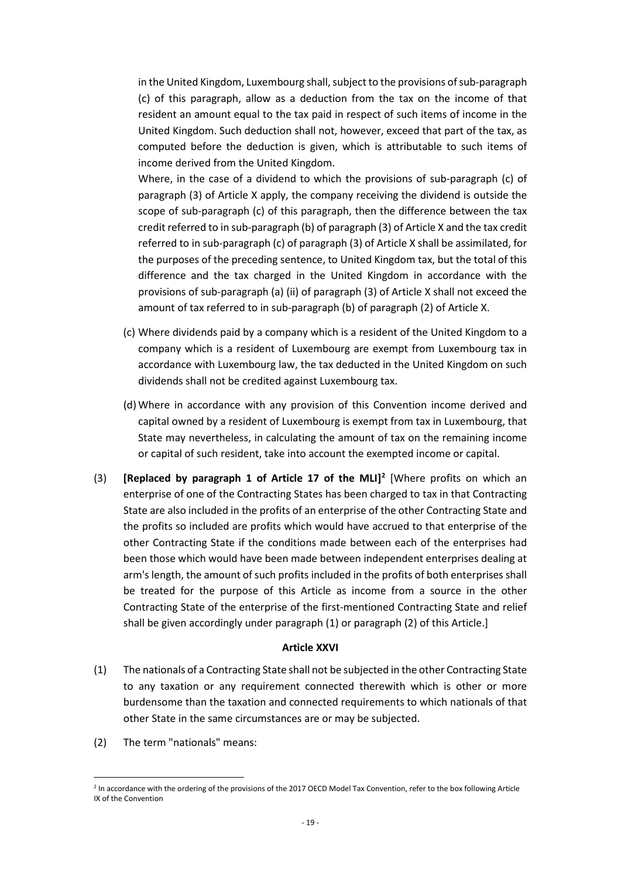in the United Kingdom, Luxembourg shall, subject to the provisions of sub-paragraph (c) of this paragraph, allow as a deduction from the tax on the income of that resident an amount equal to the tax paid in respect of such items of income in the United Kingdom. Such deduction shall not, however, exceed that part of the tax, as computed before the deduction is given, which is attributable to such items of income derived from the United Kingdom.

Where, in the case of a dividend to which the provisions of sub-paragraph (c) of paragraph (3) of Article X apply, the company receiving the dividend is outside the scope of sub-paragraph (c) of this paragraph, then the difference between the tax credit referred to in sub-paragraph (b) of paragraph (3) of Article X and the tax credit referred to in sub-paragraph (c) of paragraph (3) of Article X shall be assimilated, for the purposes of the preceding sentence, to United Kingdom tax, but the total of this difference and the tax charged in the United Kingdom in accordance with the provisions of sub-paragraph (a) (ii) of paragraph (3) of Article X shall not exceed the amount of tax referred to in sub-paragraph (b) of paragraph (2) of Article X.

- (c) Where dividends paid by a company which is a resident of the United Kingdom to a company which is a resident of Luxembourg are exempt from Luxembourg tax in accordance with Luxembourg law, the tax deducted in the United Kingdom on such dividends shall not be credited against Luxembourg tax.
- (d) Where in accordance with any provision of this Convention income derived and capital owned by a resident of Luxembourg is exempt from tax in Luxembourg, that State may nevertheless, in calculating the amount of tax on the remaining income or capital of such resident, take into account the exempted income or capital.
- (3) **[Replaced by paragraph 1 of Article 17 of the MLI][2](#page-18-0)** [Where profits on which an enterprise of one of the Contracting States has been charged to tax in that Contracting State are also included in the profits of an enterprise of the other Contracting State and the profits so included are profits which would have accrued to that enterprise of the other Contracting State if the conditions made between each of the enterprises had been those which would have been made between independent enterprises dealing at arm's length, the amount of such profits included in the profits of both enterprises shall be treated for the purpose of this Article as income from a source in the other Contracting State of the enterprise of the first-mentioned Contracting State and relief shall be given accordingly under paragraph (1) or paragraph (2) of this Article.]

#### **Article XXVI**

- (1) The nationals of a Contracting State shall not be subjected in the other Contracting State to any taxation or any requirement connected therewith which is other or more burdensome than the taxation and connected requirements to which nationals of that other State in the same circumstances are or may be subjected.
- (2) The term "nationals" means:

<u>.</u>

<span id="page-18-0"></span><sup>&</sup>lt;sup>2</sup> In accordance with the ordering of the provisions of the 2017 OECD Model Tax Convention, refer to the box following Article IX of the Convention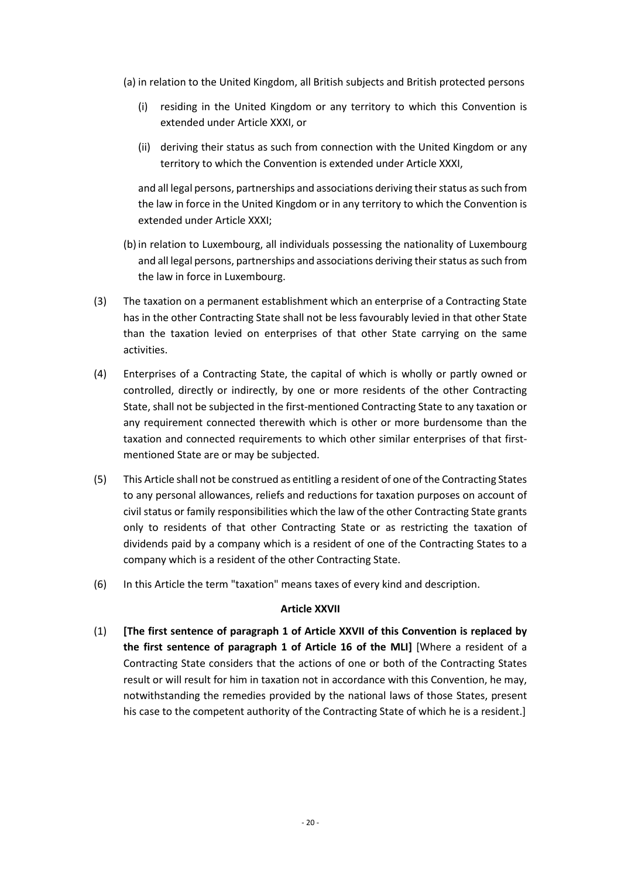- (a) in relation to the United Kingdom, all British subjects and British protected persons
	- (i) residing in the United Kingdom or any territory to which this Convention is extended under Article XXXI, or
	- (ii) deriving their status as such from connection with the United Kingdom or any territory to which the Convention is extended under Article XXXI,

and all legal persons, partnerships and associations deriving their status as such from the law in force in the United Kingdom or in any territory to which the Convention is extended under Article XXXI;

- (b) in relation to Luxembourg, all individuals possessing the nationality of Luxembourg and all legal persons, partnerships and associations deriving their status as such from the law in force in Luxembourg.
- (3) The taxation on a permanent establishment which an enterprise of a Contracting State has in the other Contracting State shall not be less favourably levied in that other State than the taxation levied on enterprises of that other State carrying on the same activities.
- (4) Enterprises of a Contracting State, the capital of which is wholly or partly owned or controlled, directly or indirectly, by one or more residents of the other Contracting State, shall not be subjected in the first-mentioned Contracting State to any taxation or any requirement connected therewith which is other or more burdensome than the taxation and connected requirements to which other similar enterprises of that firstmentioned State are or may be subjected.
- (5) This Article shall not be construed as entitling a resident of one of the Contracting States to any personal allowances, reliefs and reductions for taxation purposes on account of civil status or family responsibilities which the law of the other Contracting State grants only to residents of that other Contracting State or as restricting the taxation of dividends paid by a company which is a resident of one of the Contracting States to a company which is a resident of the other Contracting State.
- (6) In this Article the term "taxation" means taxes of every kind and description.

#### **Article XXVII**

(1) **[The first sentence of paragraph 1 of Article XXVII of this Convention is replaced by the first sentence of paragraph 1 of Article 16 of the MLI]** [Where a resident of a Contracting State considers that the actions of one or both of the Contracting States result or will result for him in taxation not in accordance with this Convention, he may, notwithstanding the remedies provided by the national laws of those States, present his case to the competent authority of the Contracting State of which he is a resident.]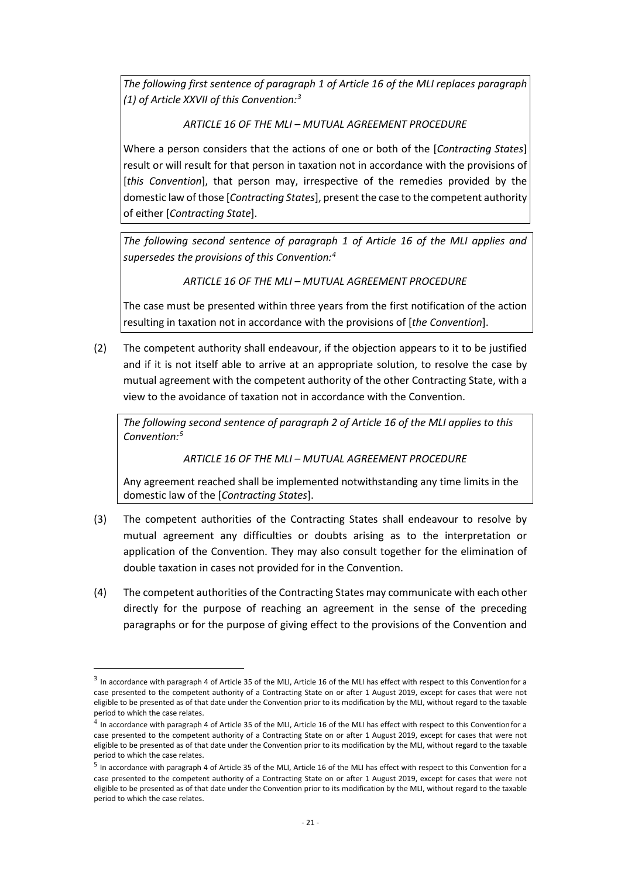*The following first sentence of paragraph 1 of Article 16 of the MLI replaces paragraph (1) of Article XXVII of this Convention:[3](#page-20-0)*

*ARTICLE 16 OF THE MLI – MUTUAL AGREEMENT PROCEDURE*

Where a person considers that the actions of one or both of the [*Contracting States*] result or will result for that person in taxation not in accordance with the provisions of [*this Convention*], that person may, irrespective of the remedies provided by the domestic law of those [*Contracting States*], present the case to the competent authority of either [*Contracting State*].

*The following second sentence of paragraph 1 of Article 16 of the MLI applies and supersedes the provisions of this Convention:[4](#page-20-1)*

*ARTICLE 16 OF THE MLI – MUTUAL AGREEMENT PROCEDURE*

The case must be presented within three years from the first notification of the action resulting in taxation not in accordance with the provisions of [*the Convention*].

(2) The competent authority shall endeavour, if the objection appears to it to be justified and if it is not itself able to arrive at an appropriate solution, to resolve the case by mutual agreement with the competent authority of the other Contracting State, with a view to the avoidance of taxation not in accordance with the Convention.

*The following second sentence of paragraph 2 of Article 16 of the MLI applies to this Convention:[5](#page-20-2)*

*ARTICLE 16 OF THE MLI – MUTUAL AGREEMENT PROCEDURE*

Any agreement reached shall be implemented notwithstanding any time limits in the domestic law of the [*Contracting States*].

- (3) The competent authorities of the Contracting States shall endeavour to resolve by mutual agreement any difficulties or doubts arising as to the interpretation or application of the Convention. They may also consult together for the elimination of double taxation in cases not provided for in the Convention.
- (4) The competent authorities of the Contracting States may communicate with each other directly for the purpose of reaching an agreement in the sense of the preceding paragraphs or for the purpose of giving effect to the provisions of the Convention and

-

<span id="page-20-0"></span><sup>&</sup>lt;sup>3</sup> In accordance with paragraph 4 of Article 35 of the MLI, Article 16 of the MLI has effect with respect to this Convention for a case presented to the competent authority of a Contracting State on or after 1 August 2019, except for cases that were not eligible to be presented as of that date under the Convention prior to its modification by the MLI, without regard to the taxable period to which the case relates.

<span id="page-20-1"></span><sup>4</sup> In accordance with paragraph 4 of Article 35 of the MLI, Article 16 of the MLI has effect with respect to this Conventionfor a case presented to the competent authority of a Contracting State on or after 1 August 2019, except for cases that were not eligible to be presented as of that date under the Convention prior to its modification by the MLI, without regard to the taxable period to which the case relates.

<span id="page-20-2"></span> $<sup>5</sup>$  In accordance with paragraph 4 of Article 35 of the MLI, Article 16 of the MLI has effect with respect to this Convention for a</sup> case presented to the competent authority of a Contracting State on or after 1 August 2019, except for cases that were not eligible to be presented as of that date under the Convention prior to its modification by the MLI, without regard to the taxable period to which the case relates.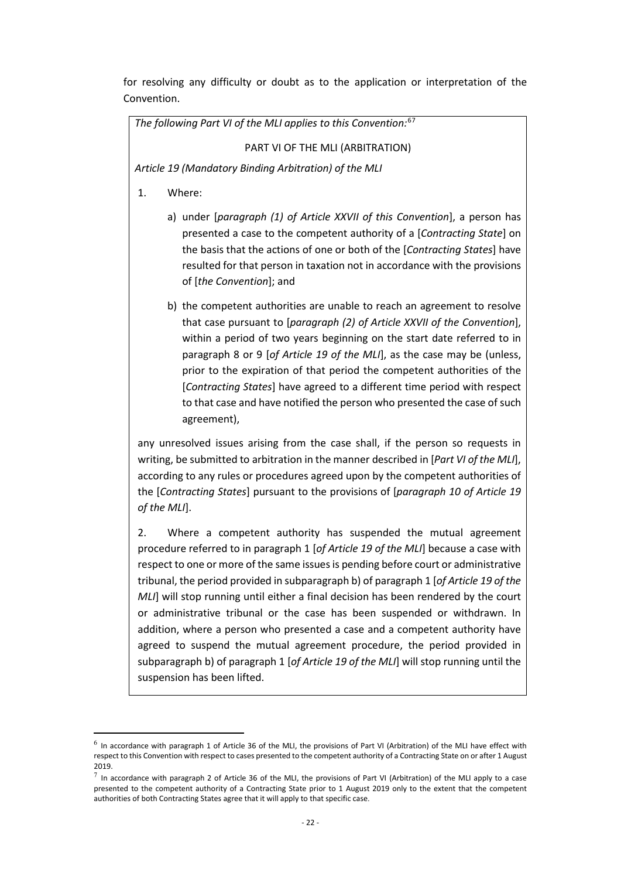for resolving any difficulty or doubt as to the application or interpretation of the Convention.

*The following Part VI of the MLI applies to this Convention:*[6](#page-21-0)[7](#page-21-1) PART VI OF THE MLI (ARBITRATION) *Article 19 (Mandatory Binding Arbitration) of the MLI* 1. Where: a) under [*paragraph (1) of Article XXVII of this Convention*], a person has presented a case to the competent authority of a [*Contracting State*] on the basis that the actions of one or both of the [*Contracting States*] have resulted for that person in taxation not in accordance with the provisions of [*the Convention*]; and b) the competent authorities are unable to reach an agreement to resolve that case pursuant to [*paragraph (2) of Article XXVII of the Convention*], within a period of two years beginning on the start date referred to in paragraph 8 or 9 [*of Article 19 of the MLI*], as the case may be (unless, prior to the expiration of that period the competent authorities of the [*Contracting States*] have agreed to a different time period with respect to that case and have notified the person who presented the case of such agreement),

any unresolved issues arising from the case shall, if the person so requests in writing, be submitted to arbitration in the manner described in [*Part VI of the MLI*], according to any rules or procedures agreed upon by the competent authorities of the [*Contracting States*] pursuant to the provisions of [*paragraph 10 of Article 19 of the MLI*].

2. Where a competent authority has suspended the mutual agreement procedure referred to in paragraph 1 [*of Article 19 of the MLI*] because a case with respect to one or more of the same issues is pending before court or administrative tribunal, the period provided in subparagraph b) of paragraph 1 [*of Article 19 of the MLI*] will stop running until either a final decision has been rendered by the court or administrative tribunal or the case has been suspended or withdrawn. In addition, where a person who presented a case and a competent authority have agreed to suspend the mutual agreement procedure, the period provided in subparagraph b) of paragraph 1 [*of Article 19 of the MLI*] will stop running until the suspension has been lifted.

<span id="page-21-0"></span> $^6$  In accordance with paragraph 1 of Article 36 of the MLI, the provisions of Part VI (Arbitration) of the MLI have effect with respect to this Convention with respect to cases presented to the competent authority of a Contracting State on or after 1 August 2019.

<span id="page-21-1"></span> $^7$  In accordance with paragraph 2 of Article 36 of the MLI, the provisions of Part VI (Arbitration) of the MLI apply to a case presented to the competent authority of a Contracting State prior to 1 August 2019 only to the extent that the competent authorities of both Contracting States agree that it will apply to that specific case.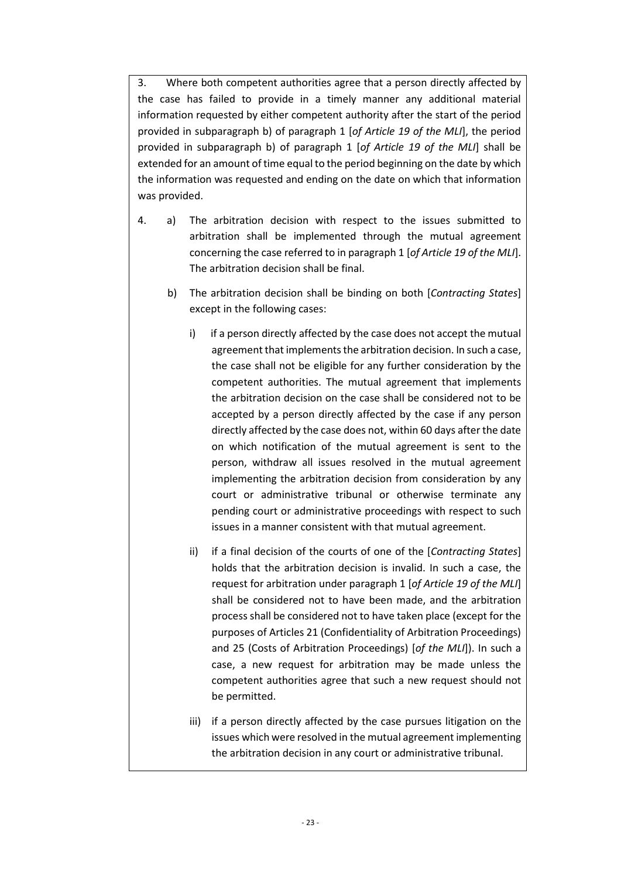3. Where both competent authorities agree that a person directly affected by the case has failed to provide in a timely manner any additional material information requested by either competent authority after the start of the period provided in subparagraph b) of paragraph 1 [*of Article 19 of the MLI*], the period provided in subparagraph b) of paragraph 1 [*of Article 19 of the MLI*] shall be extended for an amount of time equal to the period beginning on the date by which the information was requested and ending on the date on which that information was provided.

- 4. a) The arbitration decision with respect to the issues submitted to arbitration shall be implemented through the mutual agreement concerning the case referred to in paragraph 1 [*of Article 19 of the MLI*]. The arbitration decision shall be final.
	- b) The arbitration decision shall be binding on both [*Contracting States*] except in the following cases:
		- i) if a person directly affected by the case does not accept the mutual agreement that implements the arbitration decision. In such a case, the case shall not be eligible for any further consideration by the competent authorities. The mutual agreement that implements the arbitration decision on the case shall be considered not to be accepted by a person directly affected by the case if any person directly affected by the case does not, within 60 days after the date on which notification of the mutual agreement is sent to the person, withdraw all issues resolved in the mutual agreement implementing the arbitration decision from consideration by any court or administrative tribunal or otherwise terminate any pending court or administrative proceedings with respect to such issues in a manner consistent with that mutual agreement.
		- ii) if a final decision of the courts of one of the [*Contracting States*] holds that the arbitration decision is invalid. In such a case, the request for arbitration under paragraph 1 [*of Article 19 of the MLI*] shall be considered not to have been made, and the arbitration process shall be considered not to have taken place (except for the purposes of Articles 21 (Confidentiality of Arbitration Proceedings) and 25 (Costs of Arbitration Proceedings) [*of the MLI*]). In such a case, a new request for arbitration may be made unless the competent authorities agree that such a new request should not be permitted.
		- iii) if a person directly affected by the case pursues litigation on the issues which were resolved in the mutual agreement implementing the arbitration decision in any court or administrative tribunal.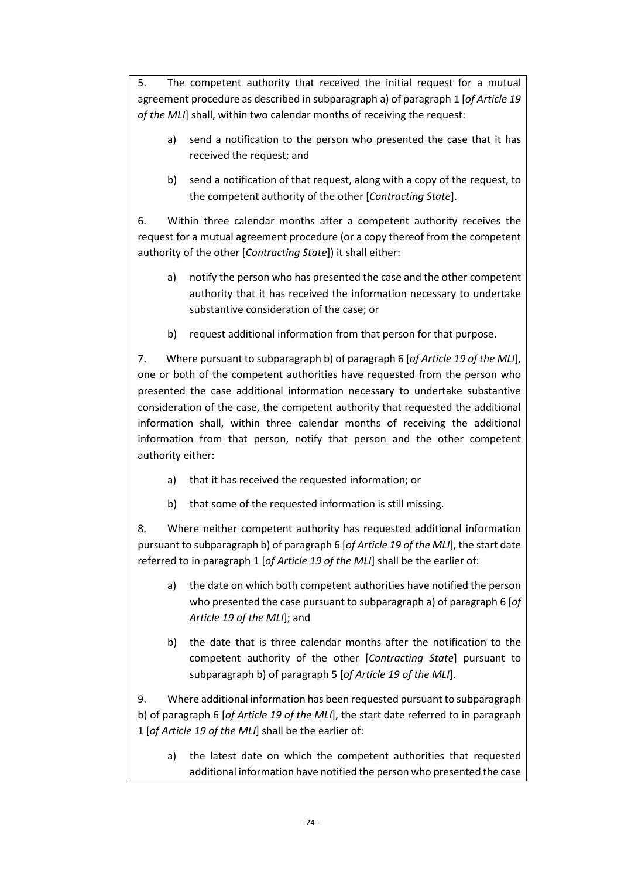5. The competent authority that received the initial request for a mutual agreement procedure as described in subparagraph a) of paragraph 1 [*of Article 19 of the MLI*] shall, within two calendar months of receiving the request:

- a) send a notification to the person who presented the case that it has received the request; and
- b) send a notification of that request, along with a copy of the request, to the competent authority of the other [*Contracting State*].

6. Within three calendar months after a competent authority receives the request for a mutual agreement procedure (or a copy thereof from the competent authority of the other [*Contracting State*]) it shall either:

- a) notify the person who has presented the case and the other competent authority that it has received the information necessary to undertake substantive consideration of the case; or
- b) request additional information from that person for that purpose.

7. Where pursuant to subparagraph b) of paragraph 6 [*of Article 19 of the MLI*], one or both of the competent authorities have requested from the person who presented the case additional information necessary to undertake substantive consideration of the case, the competent authority that requested the additional information shall, within three calendar months of receiving the additional information from that person, notify that person and the other competent authority either:

- a) that it has received the requested information; or
- b) that some of the requested information is still missing.

8. Where neither competent authority has requested additional information pursuant to subparagraph b) of paragraph 6 [*of Article 19 of the MLI*], the start date referred to in paragraph 1 [*of Article 19 of the MLI*] shall be the earlier of:

- a) the date on which both competent authorities have notified the person who presented the case pursuant to subparagraph a) of paragraph 6 [*of Article 19 of the MLI*]; and
- b) the date that is three calendar months after the notification to the competent authority of the other [*Contracting State*] pursuant to subparagraph b) of paragraph 5 [*of Article 19 of the MLI*].

9. Where additional information has been requested pursuant to subparagraph b) of paragraph 6 [*of Article 19 of the MLI*], the start date referred to in paragraph 1 [*of Article 19 of the MLI*] shall be the earlier of:

a) the latest date on which the competent authorities that requested additional information have notified the person who presented the case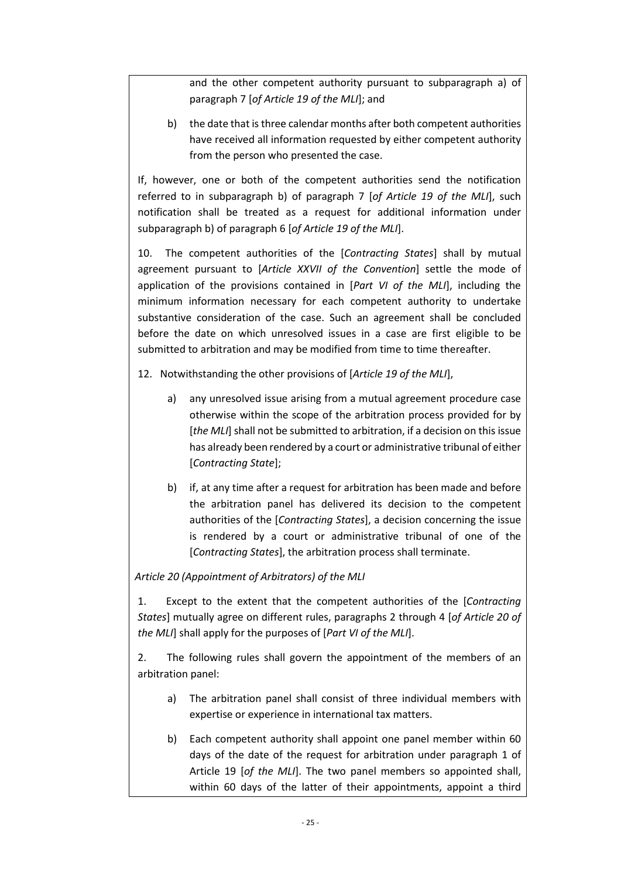and the other competent authority pursuant to subparagraph a) of paragraph 7 [*of Article 19 of the MLI*]; and

b) the date that is three calendar months after both competent authorities have received all information requested by either competent authority from the person who presented the case.

If, however, one or both of the competent authorities send the notification referred to in subparagraph b) of paragraph 7 [*of Article 19 of the MLI*], such notification shall be treated as a request for additional information under subparagraph b) of paragraph 6 [*of Article 19 of the MLI*].

10. The competent authorities of the [*Contracting States*] shall by mutual agreement pursuant to [*Article XXVII of the Convention*] settle the mode of application of the provisions contained in [*Part VI of the MLI*], including the minimum information necessary for each competent authority to undertake substantive consideration of the case. Such an agreement shall be concluded before the date on which unresolved issues in a case are first eligible to be submitted to arbitration and may be modified from time to time thereafter.

12. Notwithstanding the other provisions of [*Article 19 of the MLI*],

- a) any unresolved issue arising from a mutual agreement procedure case otherwise within the scope of the arbitration process provided for by [*the MLI*] shall not be submitted to arbitration, if a decision on this issue has already been rendered by a court or administrative tribunal of either [*Contracting State*];
- b) if, at any time after a request for arbitration has been made and before the arbitration panel has delivered its decision to the competent authorities of the [*Contracting States*], a decision concerning the issue is rendered by a court or administrative tribunal of one of the [*Contracting States*], the arbitration process shall terminate.

*Article 20 (Appointment of Arbitrators) of the MLI*

1. Except to the extent that the competent authorities of the [*Contracting States*] mutually agree on different rules, paragraphs 2 through 4 [*of Article 20 of the MLI*] shall apply for the purposes of [*Part VI of the MLI*].

2. The following rules shall govern the appointment of the members of an arbitration panel:

- a) The arbitration panel shall consist of three individual members with expertise or experience in international tax matters.
- b) Each competent authority shall appoint one panel member within 60 days of the date of the request for arbitration under paragraph 1 of Article 19 [*of the MLI*]. The two panel members so appointed shall, within 60 days of the latter of their appointments, appoint a third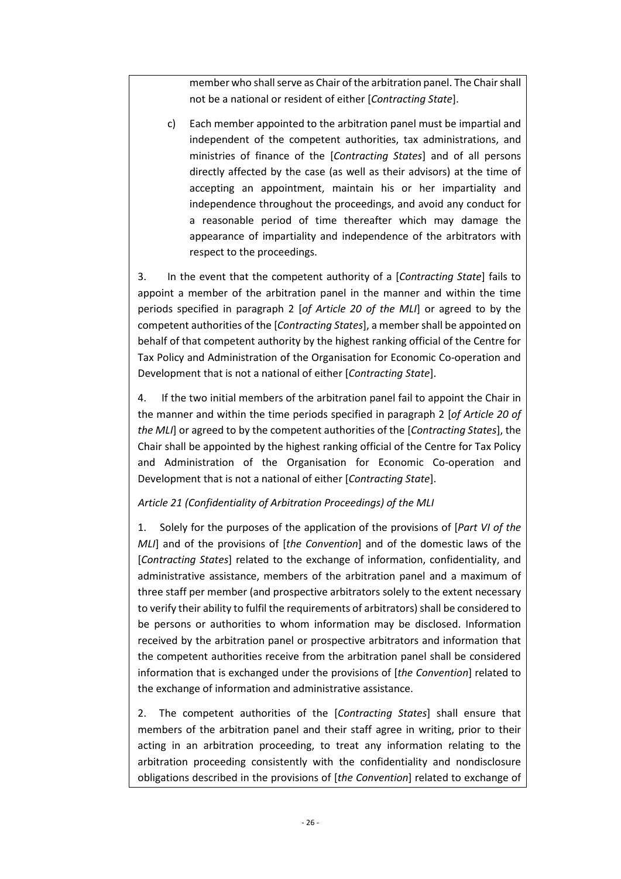member who shall serve as Chair of the arbitration panel. The Chair shall not be a national or resident of either [*Contracting State*].

c) Each member appointed to the arbitration panel must be impartial and independent of the competent authorities, tax administrations, and ministries of finance of the [*Contracting States*] and of all persons directly affected by the case (as well as their advisors) at the time of accepting an appointment, maintain his or her impartiality and independence throughout the proceedings, and avoid any conduct for a reasonable period of time thereafter which may damage the appearance of impartiality and independence of the arbitrators with respect to the proceedings.

3. In the event that the competent authority of a [*Contracting State*] fails to appoint a member of the arbitration panel in the manner and within the time periods specified in paragraph 2 [*of Article 20 of the MLI*] or agreed to by the competent authorities of the [*Contracting States*], a member shall be appointed on behalf of that competent authority by the highest ranking official of the Centre for Tax Policy and Administration of the Organisation for Economic Co-operation and Development that is not a national of either [*Contracting State*].

4. If the two initial members of the arbitration panel fail to appoint the Chair in the manner and within the time periods specified in paragraph 2 [*of Article 20 of the MLI*] or agreed to by the competent authorities of the [*Contracting States*], the Chair shall be appointed by the highest ranking official of the Centre for Tax Policy and Administration of the Organisation for Economic Co-operation and Development that is not a national of either [*Contracting State*].

### *Article 21 (Confidentiality of Arbitration Proceedings) of the MLI*

1. Solely for the purposes of the application of the provisions of [*Part VI of the MLI*] and of the provisions of [*the Convention*] and of the domestic laws of the [*Contracting States*] related to the exchange of information, confidentiality, and administrative assistance, members of the arbitration panel and a maximum of three staff per member (and prospective arbitrators solely to the extent necessary to verify their ability to fulfil the requirements of arbitrators) shall be considered to be persons or authorities to whom information may be disclosed. Information received by the arbitration panel or prospective arbitrators and information that the competent authorities receive from the arbitration panel shall be considered information that is exchanged under the provisions of [*the Convention*] related to the exchange of information and administrative assistance.

2. The competent authorities of the [*Contracting States*] shall ensure that members of the arbitration panel and their staff agree in writing, prior to their acting in an arbitration proceeding, to treat any information relating to the arbitration proceeding consistently with the confidentiality and nondisclosure obligations described in the provisions of [*the Convention*] related to exchange of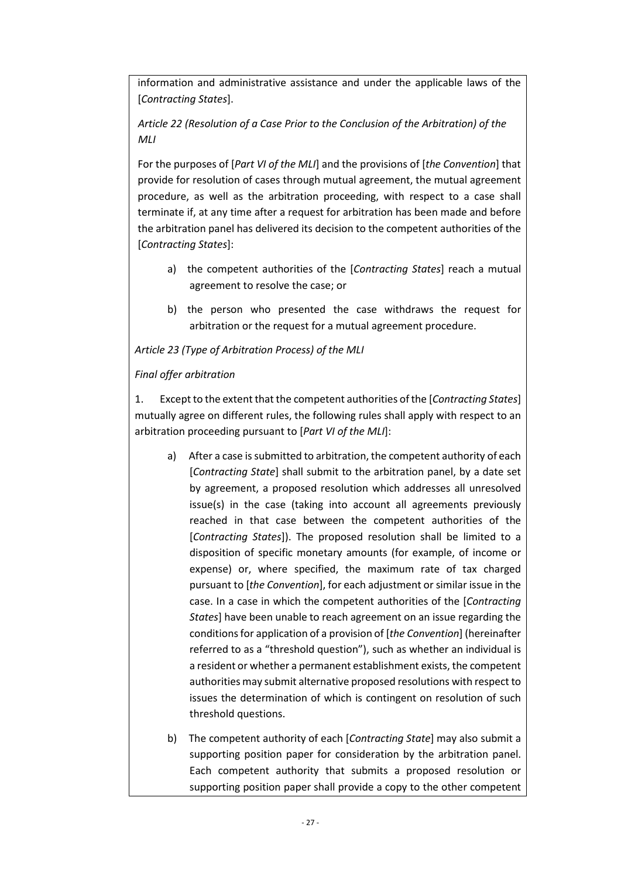information and administrative assistance and under the applicable laws of the [*Contracting States*].

# *Article 22 (Resolution of a Case Prior to the Conclusion of the Arbitration) of the MLI*

For the purposes of [*Part VI of the MLI*] and the provisions of [*the Convention*] that provide for resolution of cases through mutual agreement, the mutual agreement procedure, as well as the arbitration proceeding, with respect to a case shall terminate if, at any time after a request for arbitration has been made and before the arbitration panel has delivered its decision to the competent authorities of the [*Contracting States*]:

- a) the competent authorities of the [*Contracting States*] reach a mutual agreement to resolve the case; or
- b) the person who presented the case withdraws the request for arbitration or the request for a mutual agreement procedure.

# *Article 23 (Type of Arbitration Process) of the MLI*

# *Final offer arbitration*

1. Except to the extent that the competent authorities of the [*Contracting States*] mutually agree on different rules, the following rules shall apply with respect to an arbitration proceeding pursuant to [*Part VI of the MLI*]:

- a) After a case is submitted to arbitration, the competent authority of each [*Contracting State*] shall submit to the arbitration panel, by a date set by agreement, a proposed resolution which addresses all unresolved issue(s) in the case (taking into account all agreements previously reached in that case between the competent authorities of the [*Contracting States*]). The proposed resolution shall be limited to a disposition of specific monetary amounts (for example, of income or expense) or, where specified, the maximum rate of tax charged pursuant to [*the Convention*], for each adjustment or similar issue in the case. In a case in which the competent authorities of the [*Contracting States*] have been unable to reach agreement on an issue regarding the conditions for application of a provision of [*the Convention*] (hereinafter referred to as a "threshold question"), such as whether an individual is a resident or whether a permanent establishment exists, the competent authorities may submit alternative proposed resolutions with respect to issues the determination of which is contingent on resolution of such threshold questions.
- b) The competent authority of each [*Contracting State*] may also submit a supporting position paper for consideration by the arbitration panel. Each competent authority that submits a proposed resolution or supporting position paper shall provide a copy to the other competent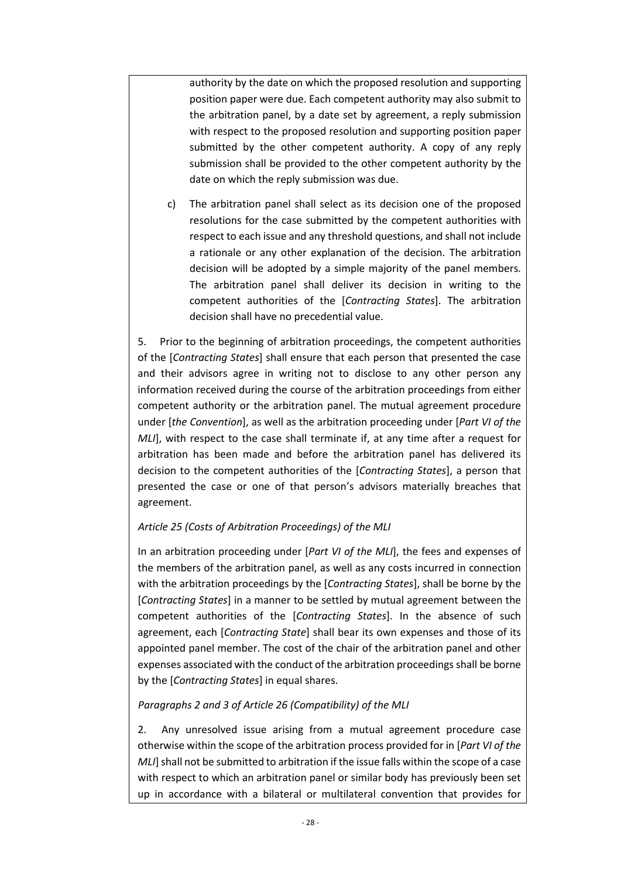authority by the date on which the proposed resolution and supporting position paper were due. Each competent authority may also submit to the arbitration panel, by a date set by agreement, a reply submission with respect to the proposed resolution and supporting position paper submitted by the other competent authority. A copy of any reply submission shall be provided to the other competent authority by the date on which the reply submission was due.

c) The arbitration panel shall select as its decision one of the proposed resolutions for the case submitted by the competent authorities with respect to each issue and any threshold questions, and shall not include a rationale or any other explanation of the decision. The arbitration decision will be adopted by a simple majority of the panel members. The arbitration panel shall deliver its decision in writing to the competent authorities of the [*Contracting States*]. The arbitration decision shall have no precedential value.

5. Prior to the beginning of arbitration proceedings, the competent authorities of the [*Contracting States*] shall ensure that each person that presented the case and their advisors agree in writing not to disclose to any other person any information received during the course of the arbitration proceedings from either competent authority or the arbitration panel. The mutual agreement procedure under [*the Convention*], as well as the arbitration proceeding under [*Part VI of the MLI*], with respect to the case shall terminate if, at any time after a request for arbitration has been made and before the arbitration panel has delivered its decision to the competent authorities of the [*Contracting States*], a person that presented the case or one of that person's advisors materially breaches that agreement.

# *Article 25 (Costs of Arbitration Proceedings) of the MLI*

In an arbitration proceeding under [*Part VI of the MLI*], the fees and expenses of the members of the arbitration panel, as well as any costs incurred in connection with the arbitration proceedings by the [*Contracting States*], shall be borne by the [*Contracting States*] in a manner to be settled by mutual agreement between the competent authorities of the [*Contracting States*]. In the absence of such agreement, each [*Contracting State*] shall bear its own expenses and those of its appointed panel member. The cost of the chair of the arbitration panel and other expenses associated with the conduct of the arbitration proceedings shall be borne by the [*Contracting States*] in equal shares.

### *Paragraphs 2 and 3 of Article 26 (Compatibility) of the MLI*

2. Any unresolved issue arising from a mutual agreement procedure case otherwise within the scope of the arbitration process provided for in [*Part VI of the MLI*] shall not be submitted to arbitration if the issue falls within the scope of a case with respect to which an arbitration panel or similar body has previously been set up in accordance with a bilateral or multilateral convention that provides for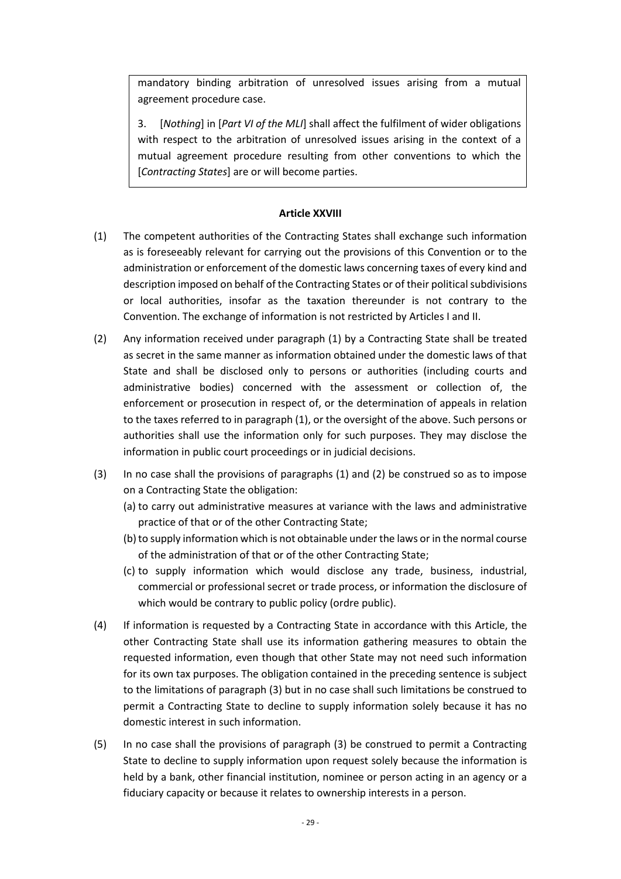mandatory binding arbitration of unresolved issues arising from a mutual agreement procedure case.

3. [*Nothing*] in [*Part VI of the MLI*] shall affect the fulfilment of wider obligations with respect to the arbitration of unresolved issues arising in the context of a mutual agreement procedure resulting from other conventions to which the [*Contracting States*] are or will become parties.

### **Article XXVIII**

- (1) The competent authorities of the Contracting States shall exchange such information as is foreseeably relevant for carrying out the provisions of this Convention or to the administration or enforcement of the domestic laws concerning taxes of every kind and description imposed on behalf of the Contracting States or of their political subdivisions or local authorities, insofar as the taxation thereunder is not contrary to the Convention. The exchange of information is not restricted by Articles I and II.
- (2) Any information received under paragraph (1) by a Contracting State shall be treated as secret in the same manner as information obtained under the domestic laws of that State and shall be disclosed only to persons or authorities (including courts and administrative bodies) concerned with the assessment or collection of, the enforcement or prosecution in respect of, or the determination of appeals in relation to the taxes referred to in paragraph (1), or the oversight of the above. Such persons or authorities shall use the information only for such purposes. They may disclose the information in public court proceedings or in judicial decisions.
- (3) In no case shall the provisions of paragraphs (1) and (2) be construed so as to impose on a Contracting State the obligation:
	- (a) to carry out administrative measures at variance with the laws and administrative practice of that or of the other Contracting State;
	- (b) to supply information which is not obtainable under the laws or in the normal course of the administration of that or of the other Contracting State;
	- (c) to supply information which would disclose any trade, business, industrial, commercial or professional secret or trade process, or information the disclosure of which would be contrary to public policy (ordre public).
- (4) If information is requested by a Contracting State in accordance with this Article, the other Contracting State shall use its information gathering measures to obtain the requested information, even though that other State may not need such information for its own tax purposes. The obligation contained in the preceding sentence is subject to the limitations of paragraph (3) but in no case shall such limitations be construed to permit a Contracting State to decline to supply information solely because it has no domestic interest in such information.
- (5) In no case shall the provisions of paragraph (3) be construed to permit a Contracting State to decline to supply information upon request solely because the information is held by a bank, other financial institution, nominee or person acting in an agency or a fiduciary capacity or because it relates to ownership interests in a person.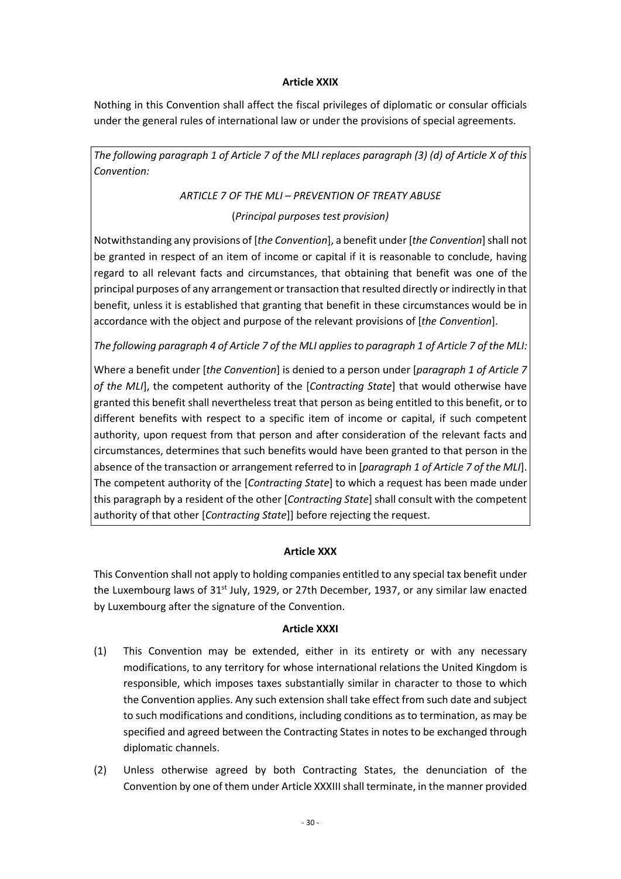### **Article XXIX**

Nothing in this Convention shall affect the fiscal privileges of diplomatic or consular officials under the general rules of international law or under the provisions of special agreements.

*The following paragraph 1 of Article 7 of the MLI replaces paragraph (3) (d) of Article X of this Convention:*

# *ARTICLE 7 OF THE MLI – PREVENTION OF TREATY ABUSE*

### (*Principal purposes test provision)*

Notwithstanding any provisions of [*the Convention*], a benefit under [*the Convention*] shall not be granted in respect of an item of income or capital if it is reasonable to conclude, having regard to all relevant facts and circumstances, that obtaining that benefit was one of the principal purposes of any arrangement or transaction that resulted directly or indirectly in that benefit, unless it is established that granting that benefit in these circumstances would be in accordance with the object and purpose of the relevant provisions of [*the Convention*].

# *The following paragraph 4 of Article 7 of the MLI applies to paragraph 1 of Article 7 of the MLI:*

Where a benefit under [*the Convention*] is denied to a person under [*paragraph 1 of Article 7 of the MLI*], the competent authority of the [*Contracting State*] that would otherwise have granted this benefit shall nevertheless treat that person as being entitled to this benefit, or to different benefits with respect to a specific item of income or capital, if such competent authority, upon request from that person and after consideration of the relevant facts and circumstances, determines that such benefits would have been granted to that person in the absence of the transaction or arrangement referred to in [*paragraph 1 of Article 7 of the MLI*]. The competent authority of the [*Contracting State*] to which a request has been made under this paragraph by a resident of the other [*Contracting State*] shall consult with the competent authority of that other [*Contracting State*]] before rejecting the request.

### **Article XXX**

This Convention shall not apply to holding companies entitled to any special tax benefit under the Luxembourg laws of 31<sup>st</sup> July, 1929, or 27th December, 1937, or any similar law enacted by Luxembourg after the signature of the Convention.

### **Article XXXI**

- (1) This Convention may be extended, either in its entirety or with any necessary modifications, to any territory for whose international relations the United Kingdom is responsible, which imposes taxes substantially similar in character to those to which the Convention applies. Any such extension shall take effect from such date and subject to such modifications and conditions, including conditions as to termination, as may be specified and agreed between the Contracting States in notes to be exchanged through diplomatic channels.
- (2) Unless otherwise agreed by both Contracting States, the denunciation of the Convention by one of them under Article XXXIII shall terminate, in the manner provided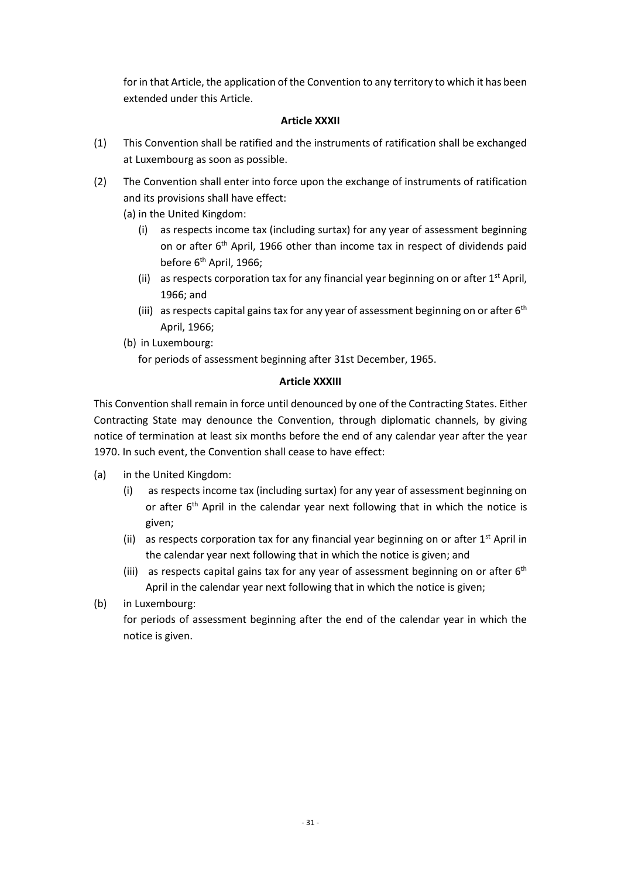for in that Article, the application of the Convention to any territory to which it has been extended under this Article.

### **Article XXXII**

- (1) This Convention shall be ratified and the instruments of ratification shall be exchanged at Luxembourg as soon as possible.
- (2) The Convention shall enter into force upon the exchange of instruments of ratification and its provisions shall have effect:
	- (a) in the United Kingdom:
		- (i) as respects income tax (including surtax) for any year of assessment beginning on or after 6th April, 1966 other than income tax in respect of dividends paid before 6<sup>th</sup> April, 1966;
		- (ii) as respects corporation tax for any financial year beginning on or after  $1^{st}$  April, 1966; and
		- (iii) as respects capital gains tax for any year of assessment beginning on or after  $6<sup>th</sup>$ April, 1966;
	- (b) in Luxembourg:

for periods of assessment beginning after 31st December, 1965.

# **Article XXXIII**

This Convention shall remain in force until denounced by one of the Contracting States. Either Contracting State may denounce the Convention, through diplomatic channels, by giving notice of termination at least six months before the end of any calendar year after the year 1970. In such event, the Convention shall cease to have effect:

- (a) in the United Kingdom:
	- (i) as respects income tax (including surtax) for any year of assessment beginning on or after  $6<sup>th</sup>$  April in the calendar year next following that in which the notice is given;
	- (ii) as respects corporation tax for any financial year beginning on or after  $1<sup>st</sup>$  April in the calendar year next following that in which the notice is given; and
	- (iii) as respects capital gains tax for any year of assessment beginning on or after  $6<sup>th</sup>$ April in the calendar year next following that in which the notice is given;
- (b) in Luxembourg:

for periods of assessment beginning after the end of the calendar year in which the notice is given.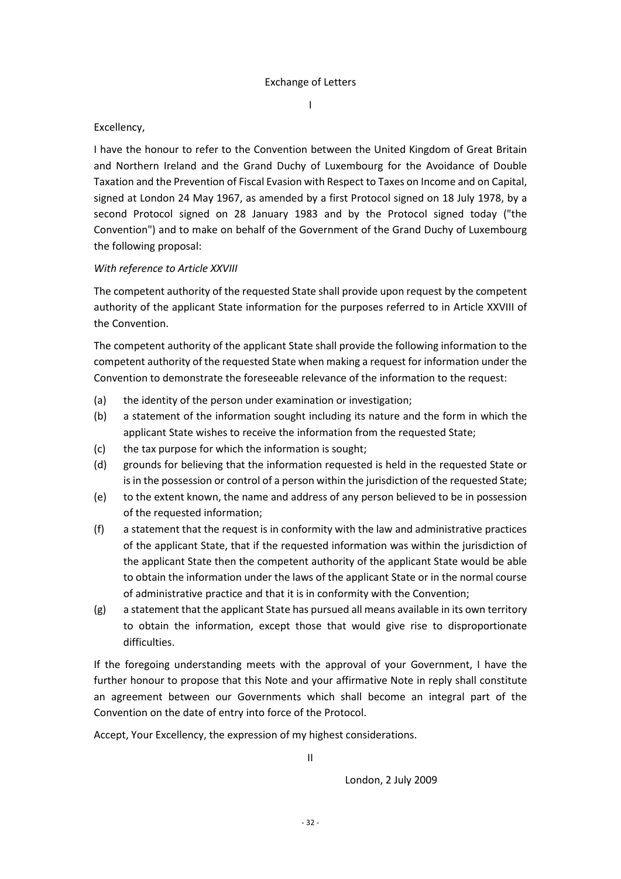I

#### Excellency,

I have the honour to refer to the Convention between the United Kingdom of Great Britain and Northern Ireland and the Grand Duchy of Luxembourg for the Avoidance of Double Taxation and the Prevention of Fiscal Evasion with Respect to Taxes on Income and on Capital, signed at London 24 May 1967, as amended by a first Protocol signed on 18 July 1978, by a second Protocol signed on 28 January 1983 and by the Protocol signed today ("the Convention") and to make on behalf of the Government of the Grand Duchy of Luxembourg the following proposal:

### *With reference to Article XXVIII*

The competent authority of the requested State shall provide upon request by the competent authority of the applicant State information for the purposes referred to in Article XXVIII of the Convention.

The competent authority of the applicant State shall provide the following information to the competent authority of the requested State when making a request for information under the Convention to demonstrate the foreseeable relevance of the information to the request:

- (a) the identity of the person under examination or investigation;
- (b) a statement of the information sought including its nature and the form in which the applicant State wishes to receive the information from the requested State;
- (c) the tax purpose for which the information is sought;
- (d) grounds for believing that the information requested is held in the requested State or is in the possession or control of a person within the jurisdiction of the requested State;
- (e) to the extent known, the name and address of any person believed to be in possession of the requested information;
- (f) a statement that the request is in conformity with the law and administrative practices of the applicant State, that if the requested information was within the jurisdiction of the applicant State then the competent authority of the applicant State would be able to obtain the information under the laws of the applicant State or in the normal course of administrative practice and that it is in conformity with the Convention;
- (g) a statement that the applicant State has pursued all means available in its own territory to obtain the information, except those that would give rise to disproportionate difficulties.

If the foregoing understanding meets with the approval of your Government, I have the further honour to propose that this Note and your affirmative Note in reply shall constitute an agreement between our Governments which shall become an integral part of the Convention on the date of entry into force of the Protocol.

Accept, Your Excellency, the expression of my highest considerations.

II

London, 2 July 2009